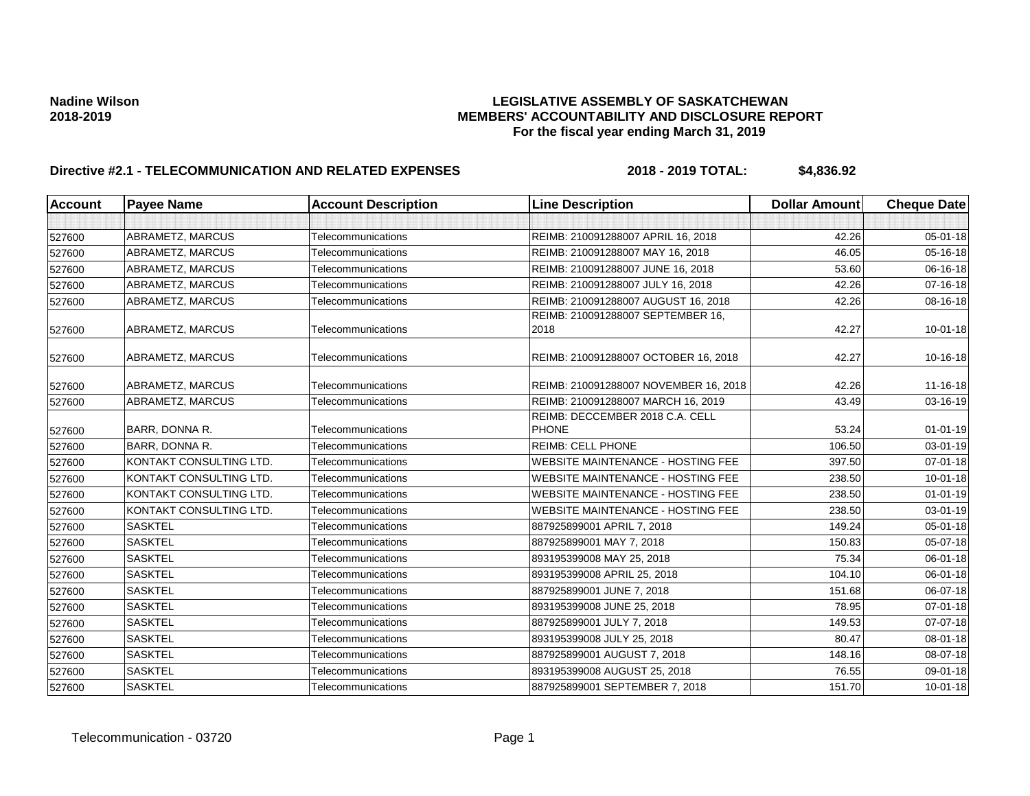| <b>Account</b> | <b>Payee Name</b>       | <b>Account Description</b> | <b>Line Description</b>                         | <b>Dollar Amount</b> | <b>Cheque Date</b> |
|----------------|-------------------------|----------------------------|-------------------------------------------------|----------------------|--------------------|
|                |                         |                            |                                                 |                      |                    |
| 527600         | ABRAMETZ, MARCUS        | Telecommunications         | REIMB: 210091288007 APRIL 16, 2018              | 42.26                | $05 - 01 - 18$     |
| 527600         | ABRAMETZ, MARCUS        | Telecommunications         | REIMB: 210091288007 MAY 16, 2018                | 46.05                | 05-16-18           |
| 527600         | ABRAMETZ, MARCUS        | Telecommunications         | REIMB: 210091288007 JUNE 16, 2018               | 53.60                | 06-16-18           |
| 527600         | <b>ABRAMETZ, MARCUS</b> | Telecommunications         | REIMB: 210091288007 JULY 16, 2018               | 42.26                | $07 - 16 - 18$     |
| 527600         | ABRAMETZ, MARCUS        | Telecommunications         | REIMB: 210091288007 AUGUST 16, 2018             | 42.26                | 08-16-18           |
| 527600         | <b>ABRAMETZ, MARCUS</b> | Telecommunications         | REIMB: 210091288007 SEPTEMBER 16,<br>2018       | 42.27                | $10 - 01 - 18$     |
| 527600         | <b>ABRAMETZ, MARCUS</b> | Telecommunications         | REIMB: 210091288007 OCTOBER 16, 2018            | 42.27                | 10-16-18           |
| 527600         | <b>ABRAMETZ, MARCUS</b> | Telecommunications         | REIMB: 210091288007 NOVEMBER 16, 2018           | 42.26                | 11-16-18           |
| 527600         | ABRAMETZ, MARCUS        | Telecommunications         | REIMB: 210091288007 MARCH 16, 2019              | 43.49                | 03-16-19           |
| 527600         | BARR, DONNA R.          | Telecommunications         | REIMB: DECCEMBER 2018 C.A. CELL<br><b>PHONE</b> | 53.24                | $01 - 01 - 19$     |
| 527600         | BARR, DONNA R.          | Telecommunications         | <b>REIMB: CELL PHONE</b>                        | 106.50               | 03-01-19           |
| 527600         | KONTAKT CONSULTING LTD. | Telecommunications         | <b>WEBSITE MAINTENANCE - HOSTING FEE</b>        | 397.50               | 07-01-18           |
| 527600         | KONTAKT CONSULTING LTD. | Telecommunications         | <b>WEBSITE MAINTENANCE - HOSTING FEE</b>        | 238.50               | $10 - 01 - 18$     |
| 527600         | KONTAKT CONSULTING LTD. | Telecommunications         | <b>WEBSITE MAINTENANCE - HOSTING FEE</b>        | 238.50               | $01 - 01 - 19$     |
| 527600         | KONTAKT CONSULTING LTD. | Telecommunications         | <b>WEBSITE MAINTENANCE - HOSTING FEE</b>        | 238.50               | 03-01-19           |
| 527600         | <b>SASKTEL</b>          | Telecommunications         | 887925899001 APRIL 7, 2018                      | 149.24               | 05-01-18           |
| 527600         | <b>SASKTEL</b>          | Telecommunications         | 887925899001 MAY 7, 2018                        | 150.83               | 05-07-18           |
| 527600         | <b>SASKTEL</b>          | Telecommunications         | 893195399008 MAY 25, 2018                       | 75.34                | 06-01-18           |
| 527600         | <b>SASKTEL</b>          | Telecommunications         | 893195399008 APRIL 25, 2018                     | 104.10               | 06-01-18           |
| 527600         | <b>SASKTEL</b>          | Telecommunications         | 887925899001 JUNE 7, 2018                       | 151.68               | 06-07-18           |
| 527600         | <b>SASKTEL</b>          | Telecommunications         | 893195399008 JUNE 25, 2018                      | 78.95                | 07-01-18           |
| 527600         | <b>SASKTEL</b>          | Telecommunications         | 887925899001 JULY 7, 2018                       | 149.53               | 07-07-18           |
| 527600         | <b>SASKTEL</b>          | Telecommunications         | 893195399008 JULY 25, 2018                      | 80.47                | 08-01-18           |
| 527600         | <b>SASKTEL</b>          | Telecommunications         | 887925899001 AUGUST 7, 2018                     | 148.16               | 08-07-18           |
| 527600         | <b>SASKTEL</b>          | Telecommunications         | 893195399008 AUGUST 25, 2018                    | 76.55                | 09-01-18           |
| 527600         | <b>SASKTEL</b>          | Telecommunications         | 887925899001 SEPTEMBER 7, 2018                  | 151.70               | $10 - 01 - 18$     |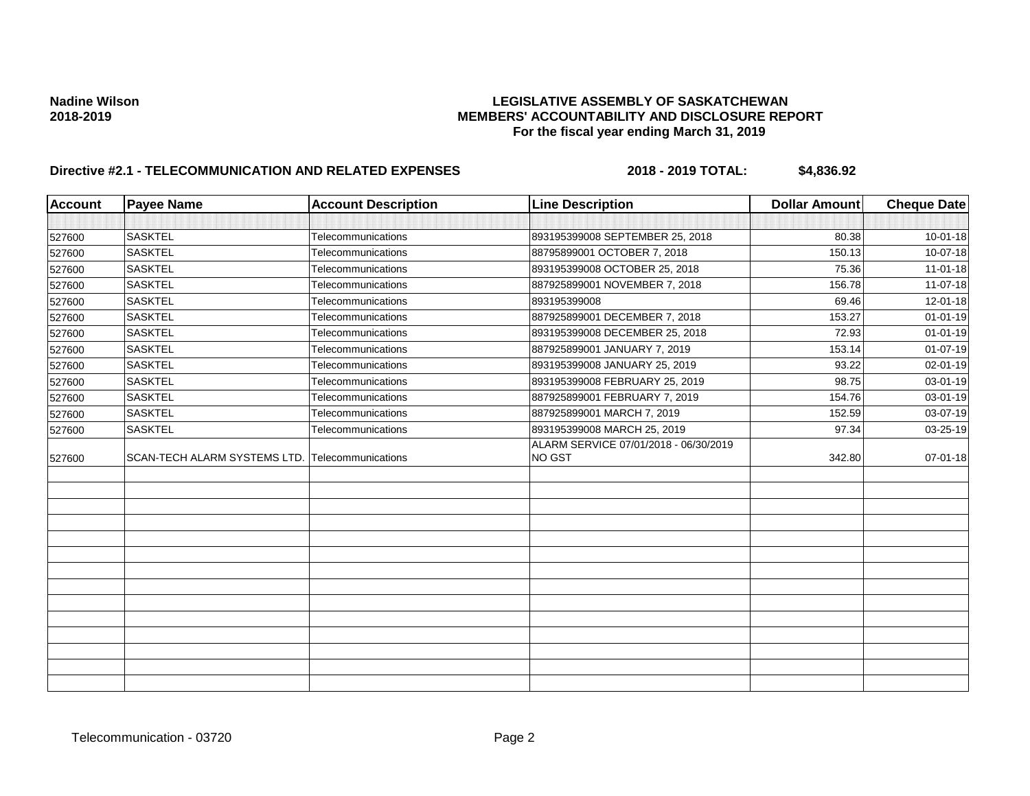| <b>Account</b> | <b>Payee Name</b>            | <b>Account Description</b> | <b>Line Description</b>                         | <b>Dollar Amount</b> | <b>Cheque Date</b> |
|----------------|------------------------------|----------------------------|-------------------------------------------------|----------------------|--------------------|
|                |                              |                            |                                                 |                      |                    |
| 527600         | <b>SASKTEL</b>               | Telecommunications         | 893195399008 SEPTEMBER 25, 2018                 | 80.38                | $10 - 01 - 18$     |
| 527600         | <b>SASKTEL</b>               | Telecommunications         | 88795899001 OCTOBER 7, 2018                     | 150.13               | 10-07-18           |
| 527600         | <b>SASKTEL</b>               | Telecommunications         | 893195399008 OCTOBER 25, 2018                   | 75.36                | $11-01-18$         |
| 527600         | <b>SASKTEL</b>               | Telecommunications         | 887925899001 NOVEMBER 7, 2018                   | 156.78               | $11-07-18$         |
| 527600         | <b>SASKTEL</b>               | Telecommunications         | 893195399008                                    | 69.46                | 12-01-18           |
| 527600         | <b>SASKTEL</b>               | Telecommunications         | 887925899001 DECEMBER 7, 2018                   | 153.27               | $01 - 01 - 19$     |
| 527600         | <b>SASKTEL</b>               | Telecommunications         | 893195399008 DECEMBER 25, 2018                  | 72.93                | $01 - 01 - 19$     |
| 527600         | <b>SASKTEL</b>               | Telecommunications         | 887925899001 JANUARY 7, 2019                    | 153.14               | $01-07-19$         |
| 527600         | <b>SASKTEL</b>               | Telecommunications         | 893195399008 JANUARY 25, 2019                   | 93.22                | 02-01-19           |
| 527600         | <b>SASKTEL</b>               | Telecommunications         | 893195399008 FEBRUARY 25, 2019                  | 98.75                | 03-01-19           |
| 527600         | <b>SASKTEL</b>               | Telecommunications         | 887925899001 FEBRUARY 7, 2019                   | 154.76               | 03-01-19           |
| 527600         | <b>SASKTEL</b>               | Telecommunications         | 887925899001 MARCH 7, 2019                      | 152.59               | 03-07-19           |
| 527600         | <b>SASKTEL</b>               | Telecommunications         | 893195399008 MARCH 25, 2019                     | 97.34                | 03-25-19           |
| 527600         | SCAN-TECH ALARM SYSTEMS LTD. | Telecommunications         | ALARM SERVICE 07/01/2018 - 06/30/2019<br>NO GST | 342.80               | $07 - 01 - 18$     |
|                |                              |                            |                                                 |                      |                    |
|                |                              |                            |                                                 |                      |                    |
|                |                              |                            |                                                 |                      |                    |
|                |                              |                            |                                                 |                      |                    |
|                |                              |                            |                                                 |                      |                    |
|                |                              |                            |                                                 |                      |                    |
|                |                              |                            |                                                 |                      |                    |
|                |                              |                            |                                                 |                      |                    |
|                |                              |                            |                                                 |                      |                    |
|                |                              |                            |                                                 |                      |                    |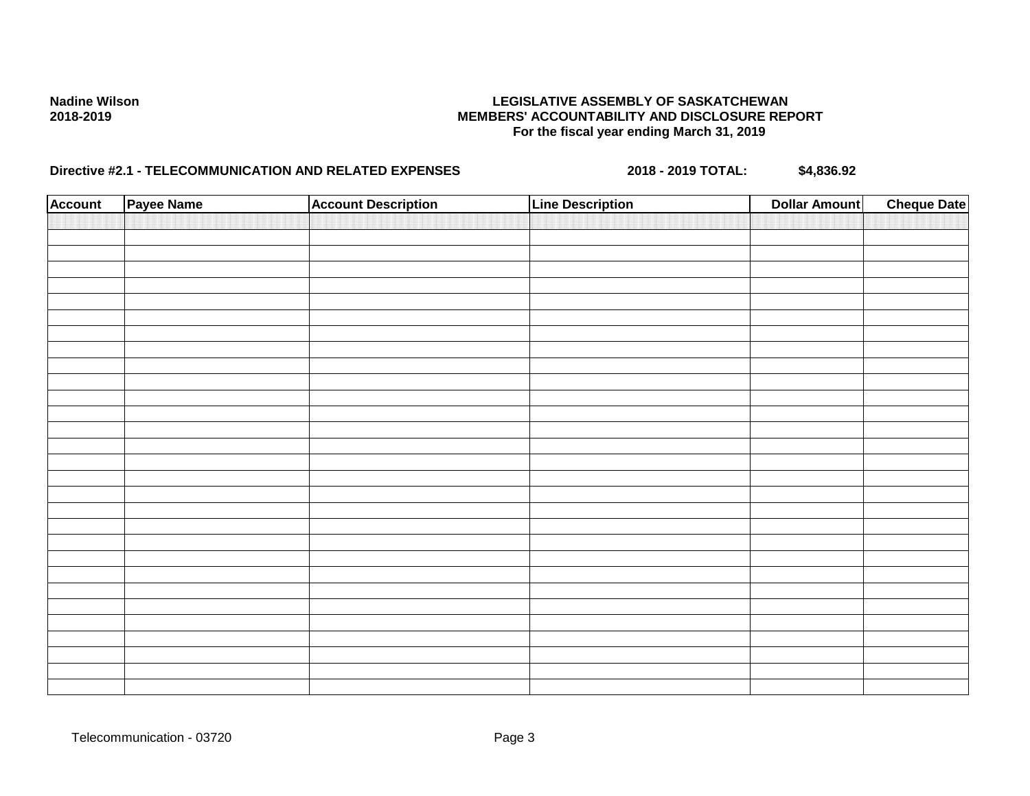| <b>Account</b> | Payee Name | <b>Account Description</b> | <b>Line Description</b> | <b>Dollar Amount</b> | <b>Cheque Date</b> |
|----------------|------------|----------------------------|-------------------------|----------------------|--------------------|
|                |            |                            |                         |                      |                    |
|                |            |                            |                         |                      |                    |
|                |            |                            |                         |                      |                    |
|                |            |                            |                         |                      |                    |
|                |            |                            |                         |                      |                    |
|                |            |                            |                         |                      |                    |
|                |            |                            |                         |                      |                    |
|                |            |                            |                         |                      |                    |
|                |            |                            |                         |                      |                    |
|                |            |                            |                         |                      |                    |
|                |            |                            |                         |                      |                    |
|                |            |                            |                         |                      |                    |
|                |            |                            |                         |                      |                    |
|                |            |                            |                         |                      |                    |
|                |            |                            |                         |                      |                    |
|                |            |                            |                         |                      |                    |
|                |            |                            |                         |                      |                    |
|                |            |                            |                         |                      |                    |
|                |            |                            |                         |                      |                    |
|                |            |                            |                         |                      |                    |
|                |            |                            |                         |                      |                    |
|                |            |                            |                         |                      |                    |
|                |            |                            |                         |                      |                    |
|                |            |                            |                         |                      |                    |
|                |            |                            |                         |                      |                    |
|                |            |                            |                         |                      |                    |
|                |            |                            |                         |                      |                    |
|                |            |                            |                         |                      |                    |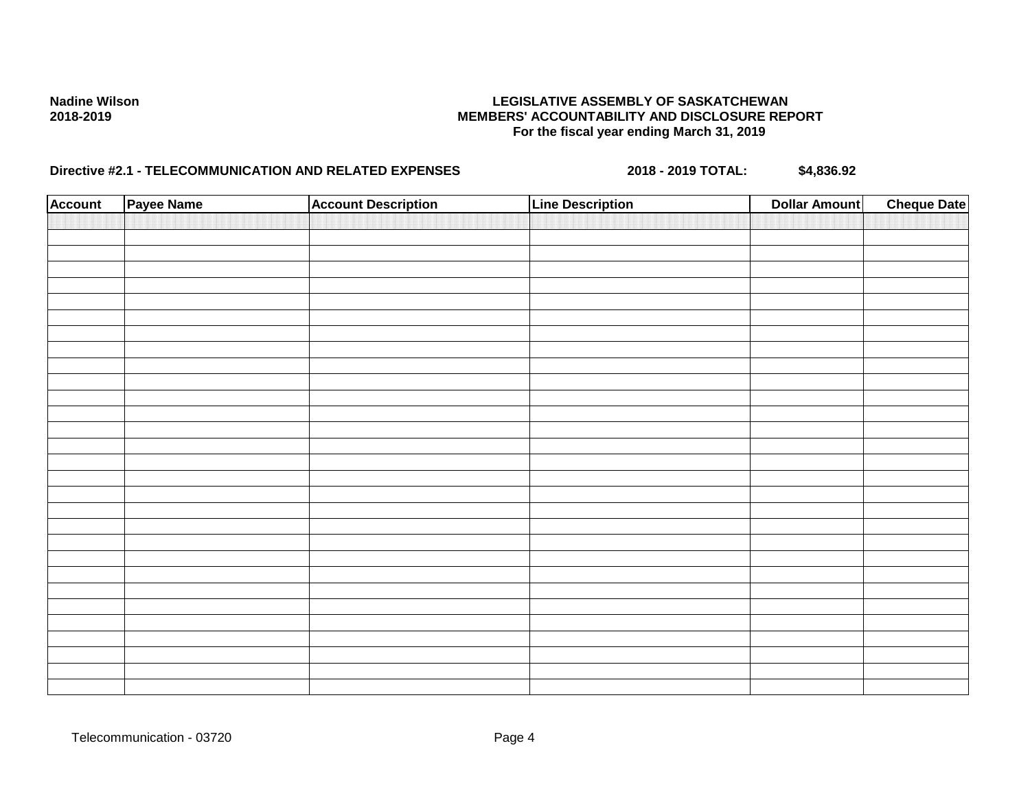| <b>Account</b> | Payee Name | <b>Account Description</b> | <b>Line Description</b> | <b>Dollar Amount</b> | <b>Cheque Date</b> |
|----------------|------------|----------------------------|-------------------------|----------------------|--------------------|
|                |            |                            |                         |                      |                    |
|                |            |                            |                         |                      |                    |
|                |            |                            |                         |                      |                    |
|                |            |                            |                         |                      |                    |
|                |            |                            |                         |                      |                    |
|                |            |                            |                         |                      |                    |
|                |            |                            |                         |                      |                    |
|                |            |                            |                         |                      |                    |
|                |            |                            |                         |                      |                    |
|                |            |                            |                         |                      |                    |
|                |            |                            |                         |                      |                    |
|                |            |                            |                         |                      |                    |
|                |            |                            |                         |                      |                    |
|                |            |                            |                         |                      |                    |
|                |            |                            |                         |                      |                    |
|                |            |                            |                         |                      |                    |
|                |            |                            |                         |                      |                    |
|                |            |                            |                         |                      |                    |
|                |            |                            |                         |                      |                    |
|                |            |                            |                         |                      |                    |
|                |            |                            |                         |                      |                    |
|                |            |                            |                         |                      |                    |
|                |            |                            |                         |                      |                    |
|                |            |                            |                         |                      |                    |
|                |            |                            |                         |                      |                    |
|                |            |                            |                         |                      |                    |
|                |            |                            |                         |                      |                    |
|                |            |                            |                         |                      |                    |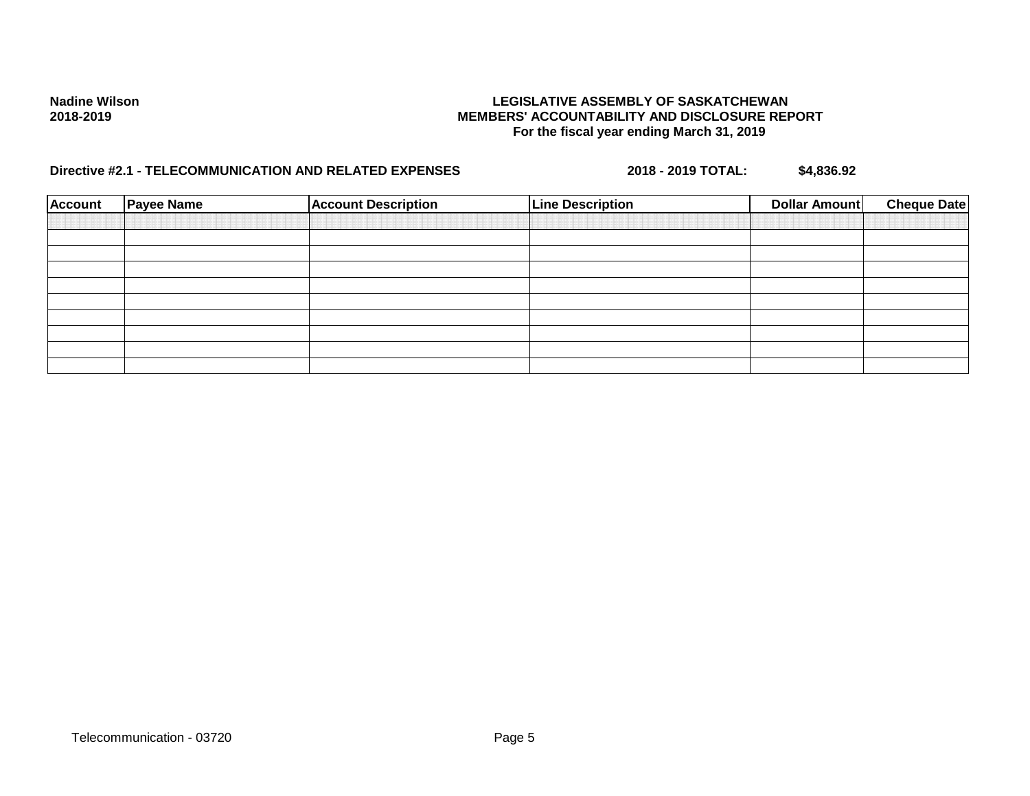| <b>Account</b> | <b>Payee Name</b> | <b>Account Description</b> | <b>Line Description</b> | Dollar Amount | <b>Cheque Date</b> |
|----------------|-------------------|----------------------------|-------------------------|---------------|--------------------|
|                |                   |                            |                         |               |                    |
|                |                   |                            |                         |               |                    |
|                |                   |                            |                         |               |                    |
|                |                   |                            |                         |               |                    |
|                |                   |                            |                         |               |                    |
|                |                   |                            |                         |               |                    |
|                |                   |                            |                         |               |                    |
|                |                   |                            |                         |               |                    |
|                |                   |                            |                         |               |                    |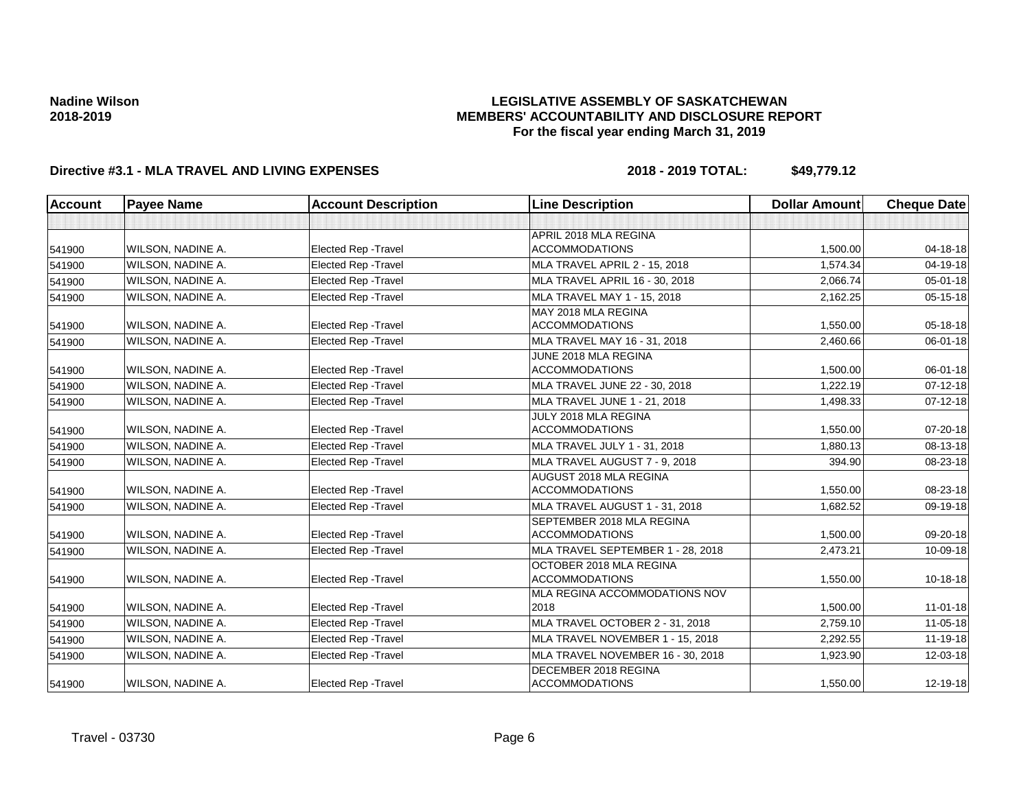## **LEGISLATIVE ASSEMBLY OF SASKATCHEWAN MEMBERS' ACCOUNTABILITY AND DISCLOSURE REPORT For the fiscal year ending March 31, 2019**

| <b>Account</b> | <b>Payee Name</b>        | <b>Account Description</b>  | <b>Line Description</b>                                | <b>Dollar Amount</b> | <b>Cheque Date</b> |
|----------------|--------------------------|-----------------------------|--------------------------------------------------------|----------------------|--------------------|
|                |                          |                             |                                                        |                      |                    |
| 541900         | WILSON, NADINE A.        | <b>Elected Rep - Travel</b> | APRIL 2018 MLA REGINA<br><b>ACCOMMODATIONS</b>         | 1,500.00             | 04-18-18           |
| 541900         | WILSON, NADINE A.        | <b>Elected Rep - Travel</b> | MLA TRAVEL APRIL 2 - 15, 2018                          | 1,574.34             | 04-19-18           |
| 541900         | WILSON, NADINE A.        | <b>Elected Rep - Travel</b> | MLA TRAVEL APRIL 16 - 30, 2018                         | 2.066.74             | $05 - 01 - 18$     |
| 541900         | <b>WILSON, NADINE A.</b> | <b>Elected Rep - Travel</b> | MLA TRAVEL MAY 1 - 15, 2018                            | 2,162.25             | 05-15-18           |
| 541900         | WILSON, NADINE A.        | <b>Elected Rep - Travel</b> | MAY 2018 MLA REGINA<br><b>ACCOMMODATIONS</b>           | 1,550.00             | 05-18-18           |
| 541900         | WILSON, NADINE A.        | Elected Rep - Travel        | MLA TRAVEL MAY 16 - 31, 2018                           | 2,460.66             | 06-01-18           |
| 541900         | WILSON, NADINE A.        | Elected Rep - Travel        | JUNE 2018 MLA REGINA<br><b>ACCOMMODATIONS</b>          | 1,500.00             | 06-01-18           |
| 541900         | WILSON, NADINE A.        | <b>Elected Rep - Travel</b> | MLA TRAVEL JUNE 22 - 30, 2018                          | 1.222.19             | $07 - 12 - 18$     |
| 541900         | WILSON, NADINE A.        | Elected Rep - Travel        | MLA TRAVEL JUNE 1 - 21, 2018                           | 1,498.33             | $07 - 12 - 18$     |
| 541900         | WILSON, NADINE A.        | <b>Elected Rep - Travel</b> | JULY 2018 MLA REGINA<br><b>ACCOMMODATIONS</b>          | 1,550.00             | 07-20-18           |
| 541900         | WILSON, NADINE A.        | <b>Elected Rep - Travel</b> | MLA TRAVEL JULY 1 - 31, 2018                           | 1,880.13             | 08-13-18           |
| 541900         | WILSON, NADINE A.        | <b>Elected Rep - Travel</b> | MLA TRAVEL AUGUST 7 - 9, 2018                          | 394.90               | 08-23-18           |
| 541900         | WILSON, NADINE A.        | <b>Elected Rep - Travel</b> | <b>AUGUST 2018 MLA REGINA</b><br><b>ACCOMMODATIONS</b> | 1,550.00             | 08-23-18           |
| 541900         | WILSON, NADINE A.        | <b>Elected Rep - Travel</b> | MLA TRAVEL AUGUST 1 - 31, 2018                         | 1,682.52             | 09-19-18           |
| 541900         | WILSON, NADINE A.        | <b>Elected Rep - Travel</b> | SEPTEMBER 2018 MLA REGINA<br><b>ACCOMMODATIONS</b>     | 1,500.00             | 09-20-18           |
| 541900         | WILSON, NADINE A.        | <b>Elected Rep - Travel</b> | MLA TRAVEL SEPTEMBER 1 - 28, 2018                      | 2,473.21             | 10-09-18           |
| 541900         | WILSON, NADINE A.        | Elected Rep - Travel        | OCTOBER 2018 MLA REGINA<br><b>ACCOMMODATIONS</b>       | 1,550.00             | 10-18-18           |
| 541900         | WILSON, NADINE A.        | Elected Rep - Travel        | MLA REGINA ACCOMMODATIONS NOV<br>2018                  | 1,500.00             | $11-01-18$         |
| 541900         | WILSON, NADINE A.        | <b>Elected Rep - Travel</b> | MLA TRAVEL OCTOBER 2 - 31, 2018                        | 2,759.10             | 11-05-18           |
| 541900         | WILSON, NADINE A.        | <b>Elected Rep - Travel</b> | MLA TRAVEL NOVEMBER 1 - 15, 2018                       | 2,292.55             | 11-19-18           |
| 541900         | WILSON, NADINE A.        | Elected Rep - Travel        | MLA TRAVEL NOVEMBER 16 - 30, 2018                      | 1,923.90             | 12-03-18           |
| 541900         | WILSON, NADINE A.        | <b>Elected Rep - Travel</b> | DECEMBER 2018 REGINA<br><b>ACCOMMODATIONS</b>          | 1,550.00             | 12-19-18           |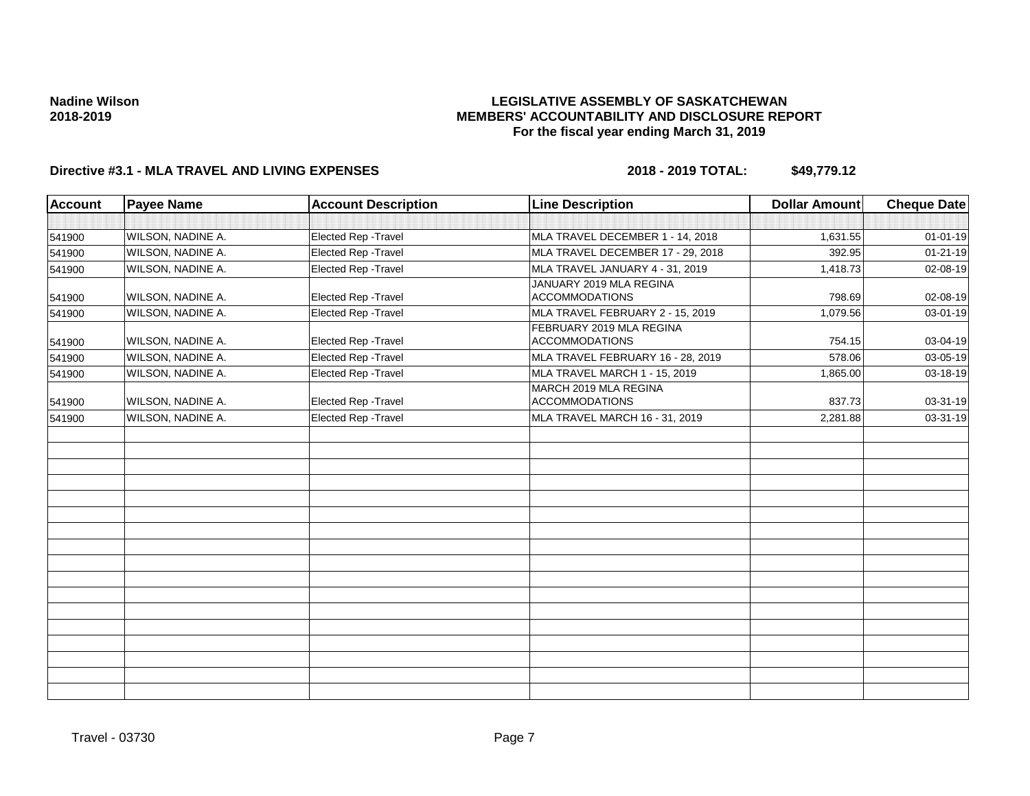## **LEGISLATIVE ASSEMBLY OF SASKATCHEWAN MEMBERS' ACCOUNTABILITY AND DISCLOSURE REPORT For the fiscal year ending March 31, 2019**

| <b>Account</b> | <b>Payee Name</b>        | <b>Account Description</b> | <b>Line Description</b>                           | <b>Dollar Amount</b> | <b>Cheque Date</b> |
|----------------|--------------------------|----------------------------|---------------------------------------------------|----------------------|--------------------|
|                |                          |                            |                                                   |                      |                    |
| 541900         | WILSON, NADINE A.        | Elected Rep - Travel       | MLA TRAVEL DECEMBER 1 - 14, 2018                  | 1,631.55             | $01 - 01 - 19$     |
| 541900         | WILSON, NADINE A.        | Elected Rep - Travel       | MLA TRAVEL DECEMBER 17 - 29, 2018                 | 392.95               | $01 - 21 - 19$     |
| 541900         | WILSON, NADINE A.        | Elected Rep - Travel       | MLA TRAVEL JANUARY 4 - 31, 2019                   | 1.418.73             | 02-08-19           |
| 541900         | WILSON, NADINE A.        | Elected Rep - Travel       | JANUARY 2019 MLA REGINA<br><b>ACCOMMODATIONS</b>  | 798.69               | 02-08-19           |
| 541900         | WILSON, NADINE A.        | Elected Rep - Travel       | MLA TRAVEL FEBRUARY 2 - 15, 2019                  | 1,079.56             | 03-01-19           |
| 541900         | WILSON, NADINE A.        | Elected Rep - Travel       | FEBRUARY 2019 MLA REGINA<br><b>ACCOMMODATIONS</b> | 754.15               | 03-04-19           |
| 541900         | <b>WILSON, NADINE A.</b> | Elected Rep - Travel       | MLA TRAVEL FEBRUARY 16 - 28, 2019                 | 578.06               | 03-05-19           |
| 541900         | WILSON, NADINE A.        | Elected Rep - Travel       | MLA TRAVEL MARCH 1 - 15, 2019                     | 1,865.00             | 03-18-19           |
| 541900         | WILSON, NADINE A.        | Elected Rep - Travel       | MARCH 2019 MLA REGINA<br><b>ACCOMMODATIONS</b>    | 837.73               | 03-31-19           |
| 541900         | WILSON, NADINE A.        | Elected Rep - Travel       | MLA TRAVEL MARCH 16 - 31, 2019                    | 2,281.88             | 03-31-19           |
|                |                          |                            |                                                   |                      |                    |
|                |                          |                            |                                                   |                      |                    |
|                |                          |                            |                                                   |                      |                    |
|                |                          |                            |                                                   |                      |                    |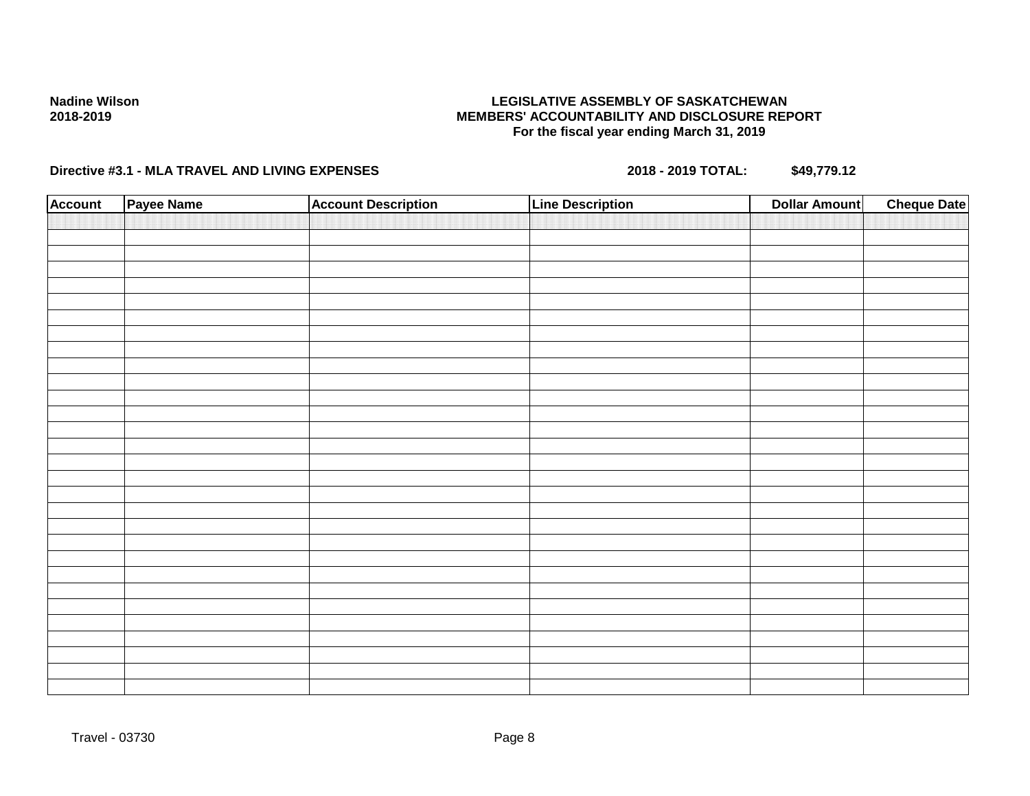## **LEGISLATIVE ASSEMBLY OF SASKATCHEWAN MEMBERS' ACCOUNTABILITY AND DISCLOSURE REPORT For the fiscal year ending March 31, 2019**

| <b>Account</b> | Payee Name | <b>Account Description</b> | <b>Line Description</b> | <b>Dollar Amount</b> | <b>Cheque Date</b> |
|----------------|------------|----------------------------|-------------------------|----------------------|--------------------|
|                |            |                            |                         |                      |                    |
|                |            |                            |                         |                      |                    |
|                |            |                            |                         |                      |                    |
|                |            |                            |                         |                      |                    |
|                |            |                            |                         |                      |                    |
|                |            |                            |                         |                      |                    |
|                |            |                            |                         |                      |                    |
|                |            |                            |                         |                      |                    |
|                |            |                            |                         |                      |                    |
|                |            |                            |                         |                      |                    |
|                |            |                            |                         |                      |                    |
|                |            |                            |                         |                      |                    |
|                |            |                            |                         |                      |                    |
|                |            |                            |                         |                      |                    |
|                |            |                            |                         |                      |                    |
|                |            |                            |                         |                      |                    |
|                |            |                            |                         |                      |                    |
|                |            |                            |                         |                      |                    |
|                |            |                            |                         |                      |                    |
|                |            |                            |                         |                      |                    |
|                |            |                            |                         |                      |                    |
|                |            |                            |                         |                      |                    |
|                |            |                            |                         |                      |                    |
|                |            |                            |                         |                      |                    |
|                |            |                            |                         |                      |                    |
|                |            |                            |                         |                      |                    |
|                |            |                            |                         |                      |                    |
|                |            |                            |                         |                      |                    |
|                |            |                            |                         |                      |                    |
|                |            |                            |                         |                      |                    |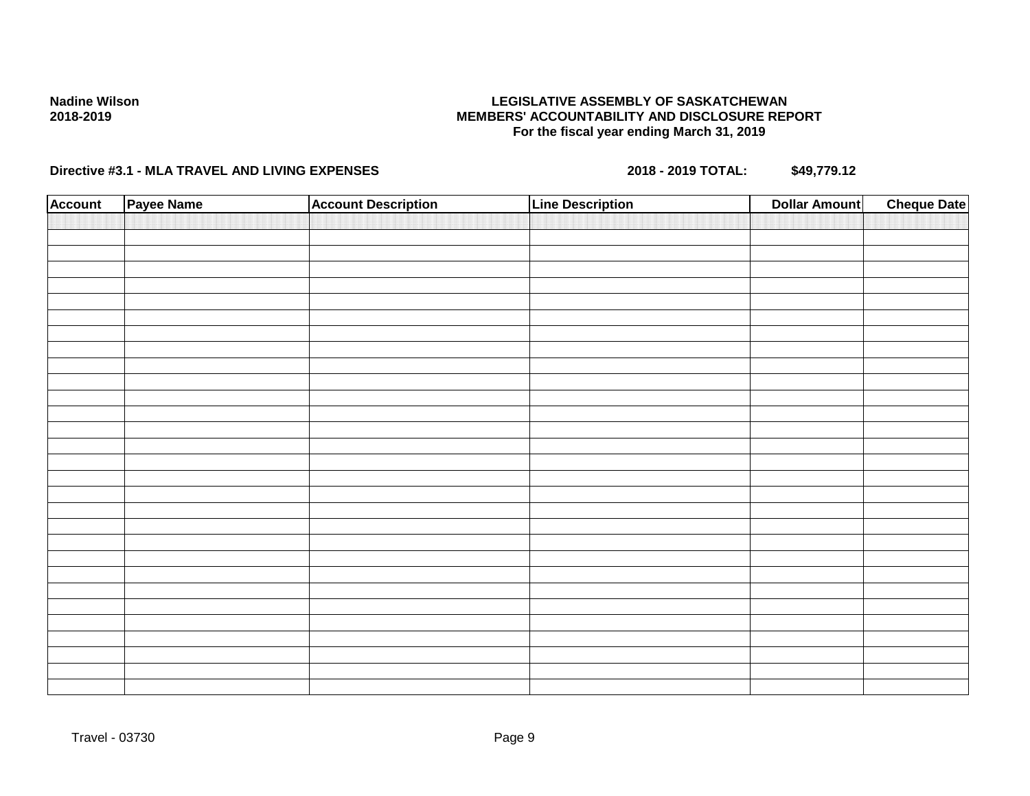## **LEGISLATIVE ASSEMBLY OF SASKATCHEWAN MEMBERS' ACCOUNTABILITY AND DISCLOSURE REPORT For the fiscal year ending March 31, 2019**

| <b>Account</b> | Payee Name | <b>Account Description</b> | <b>Line Description</b> | <b>Dollar Amount</b> | <b>Cheque Date</b> |
|----------------|------------|----------------------------|-------------------------|----------------------|--------------------|
|                |            |                            |                         |                      |                    |
|                |            |                            |                         |                      |                    |
|                |            |                            |                         |                      |                    |
|                |            |                            |                         |                      |                    |
|                |            |                            |                         |                      |                    |
|                |            |                            |                         |                      |                    |
|                |            |                            |                         |                      |                    |
|                |            |                            |                         |                      |                    |
|                |            |                            |                         |                      |                    |
|                |            |                            |                         |                      |                    |
|                |            |                            |                         |                      |                    |
|                |            |                            |                         |                      |                    |
|                |            |                            |                         |                      |                    |
|                |            |                            |                         |                      |                    |
|                |            |                            |                         |                      |                    |
|                |            |                            |                         |                      |                    |
|                |            |                            |                         |                      |                    |
|                |            |                            |                         |                      |                    |
|                |            |                            |                         |                      |                    |
|                |            |                            |                         |                      |                    |
|                |            |                            |                         |                      |                    |
|                |            |                            |                         |                      |                    |
|                |            |                            |                         |                      |                    |
|                |            |                            |                         |                      |                    |
|                |            |                            |                         |                      |                    |
|                |            |                            |                         |                      |                    |
|                |            |                            |                         |                      |                    |
|                |            |                            |                         |                      |                    |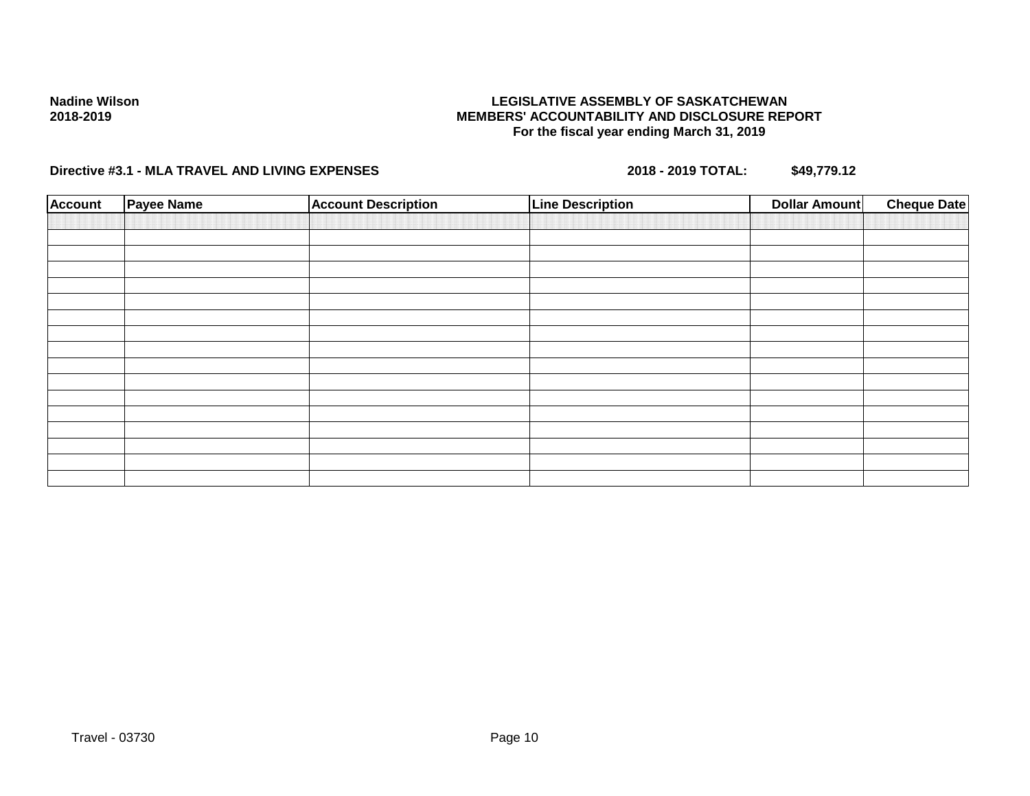## **LEGISLATIVE ASSEMBLY OF SASKATCHEWAN MEMBERS' ACCOUNTABILITY AND DISCLOSURE REPORT For the fiscal year ending March 31, 2019**

| <b>Account</b> | <b>Payee Name</b> | <b>Account Description</b> | <b>Line Description</b> | <b>Dollar Amount</b> | <b>Cheque Date</b> |
|----------------|-------------------|----------------------------|-------------------------|----------------------|--------------------|
|                |                   |                            |                         |                      |                    |
|                |                   |                            |                         |                      |                    |
|                |                   |                            |                         |                      |                    |
|                |                   |                            |                         |                      |                    |
|                |                   |                            |                         |                      |                    |
|                |                   |                            |                         |                      |                    |
|                |                   |                            |                         |                      |                    |
|                |                   |                            |                         |                      |                    |
|                |                   |                            |                         |                      |                    |
|                |                   |                            |                         |                      |                    |
|                |                   |                            |                         |                      |                    |
|                |                   |                            |                         |                      |                    |
|                |                   |                            |                         |                      |                    |
|                |                   |                            |                         |                      |                    |
|                |                   |                            |                         |                      |                    |
|                |                   |                            |                         |                      |                    |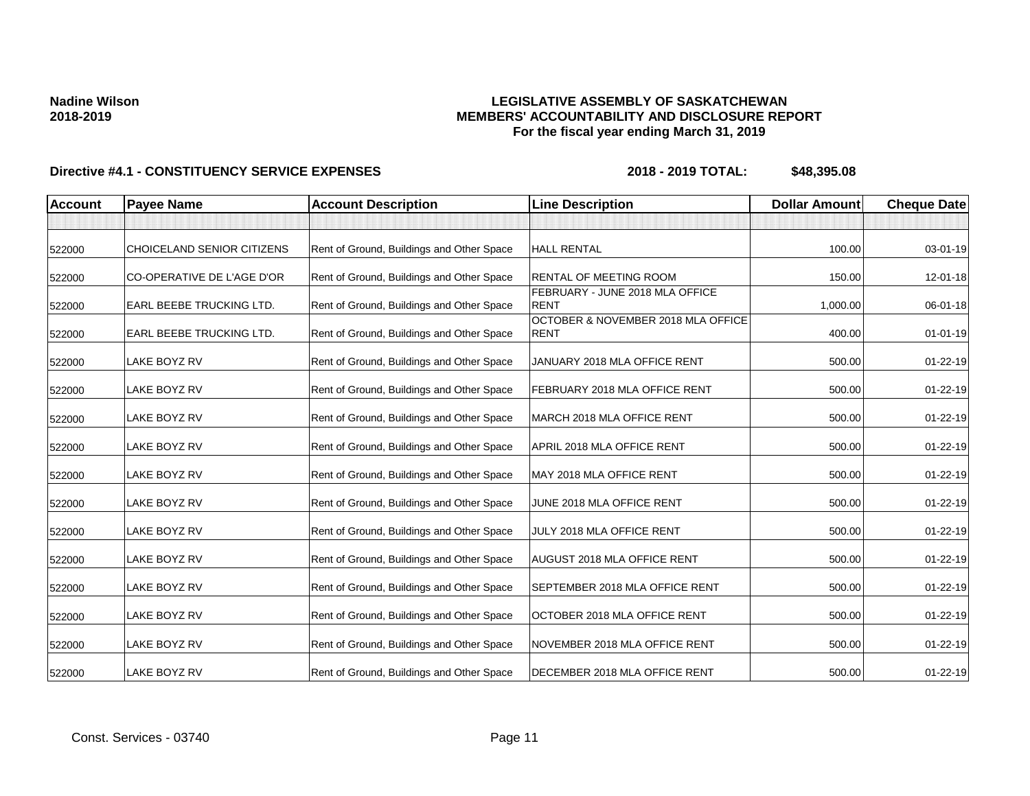## **LEGISLATIVE ASSEMBLY OF SASKATCHEWAN MEMBERS' ACCOUNTABILITY AND DISCLOSURE REPORT For the fiscal year ending March 31, 2019**

| <b>Account</b> | <b>Payee Name</b>          | <b>Account Description</b>                | <b>Line Description</b>                           | <b>Dollar Amount</b> | <b>Cheque Date</b> |
|----------------|----------------------------|-------------------------------------------|---------------------------------------------------|----------------------|--------------------|
|                |                            |                                           |                                                   |                      |                    |
| 522000         | CHOICELAND SENIOR CITIZENS | Rent of Ground, Buildings and Other Space | <b>HALL RENTAL</b>                                | 100.00               | $03 - 01 - 19$     |
| 522000         | CO-OPERATIVE DE L'AGE D'OR | Rent of Ground, Buildings and Other Space | <b>RENTAL OF MEETING ROOM</b>                     | 150.00               | 12-01-18           |
| 522000         | EARL BEEBE TRUCKING LTD.   | Rent of Ground, Buildings and Other Space | FEBRUARY - JUNE 2018 MLA OFFICE<br><b>RENT</b>    | 1,000.00             | 06-01-18           |
| 522000         | EARL BEEBE TRUCKING LTD.   | Rent of Ground, Buildings and Other Space | OCTOBER & NOVEMBER 2018 MLA OFFICE<br><b>RENT</b> | 400.00               | $01 - 01 - 19$     |
| 522000         | <b>LAKE BOYZ RV</b>        | Rent of Ground, Buildings and Other Space | JANUARY 2018 MLA OFFICE RENT                      | 500.00               | $01 - 22 - 19$     |
| 522000         | LAKE BOYZ RV               | Rent of Ground, Buildings and Other Space | FEBRUARY 2018 MLA OFFICE RENT                     | 500.00               | 01-22-19           |
| 522000         | LAKE BOYZ RV               | Rent of Ground, Buildings and Other Space | MARCH 2018 MLA OFFICE RENT                        | 500.00               | $01 - 22 - 19$     |
| 522000         | <b>LAKE BOYZ RV</b>        | Rent of Ground, Buildings and Other Space | APRIL 2018 MLA OFFICE RENT                        | 500.00               | $01 - 22 - 19$     |
| 522000         | LAKE BOYZ RV               | Rent of Ground, Buildings and Other Space | MAY 2018 MLA OFFICE RENT                          | 500.00               | $01 - 22 - 19$     |
| 522000         | LAKE BOYZ RV               | Rent of Ground, Buildings and Other Space | JUNE 2018 MLA OFFICE RENT                         | 500.00               | $01 - 22 - 19$     |
| 522000         | <b>LAKE BOYZ RV</b>        | Rent of Ground, Buildings and Other Space | JULY 2018 MLA OFFICE RENT                         | 500.00               | $01 - 22 - 19$     |
| 522000         | LAKE BOYZ RV               | Rent of Ground, Buildings and Other Space | <b>AUGUST 2018 MLA OFFICE RENT</b>                | 500.00               | $01 - 22 - 19$     |
| 522000         | LAKE BOYZ RV               | Rent of Ground, Buildings and Other Space | SEPTEMBER 2018 MLA OFFICE RENT                    | 500.00               | $01 - 22 - 19$     |
| 522000         | LAKE BOYZ RV               | Rent of Ground, Buildings and Other Space | OCTOBER 2018 MLA OFFICE RENT                      | 500.00               | 01-22-19           |
| 522000         | LAKE BOYZ RV               | Rent of Ground, Buildings and Other Space | NOVEMBER 2018 MLA OFFICE RENT                     | 500.00               | $01 - 22 - 19$     |
| 522000         | LAKE BOYZ RV               | Rent of Ground, Buildings and Other Space | DECEMBER 2018 MLA OFFICE RENT                     | 500.00               | $01 - 22 - 19$     |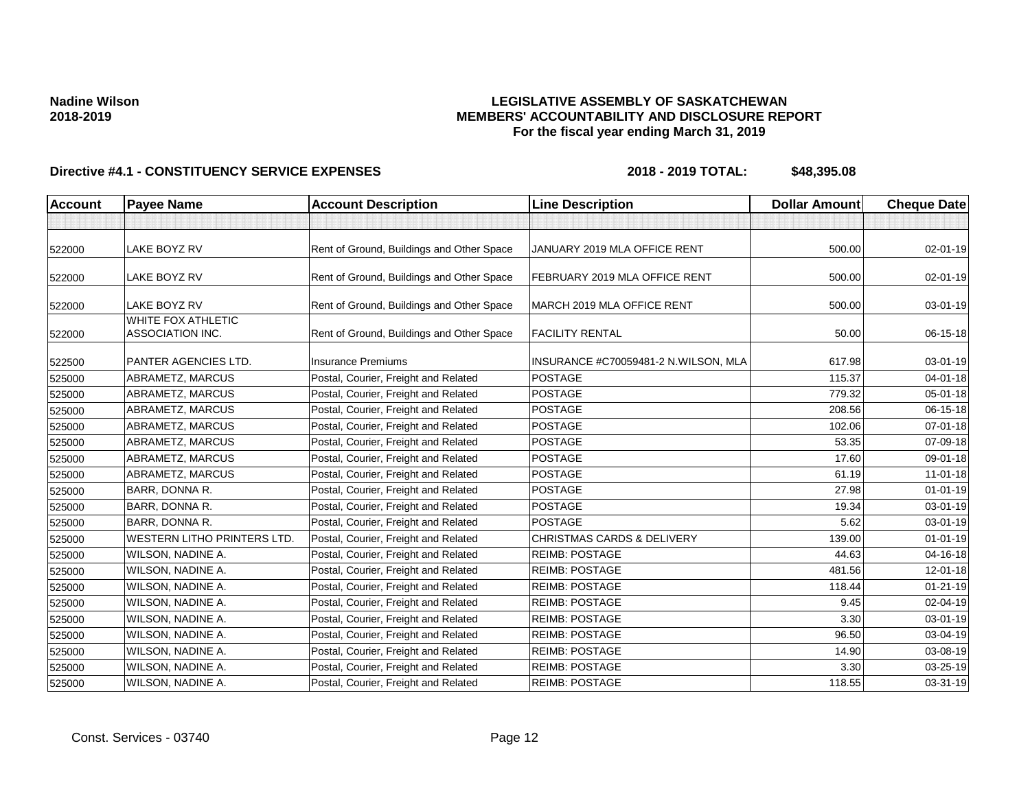## **LEGISLATIVE ASSEMBLY OF SASKATCHEWAN MEMBERS' ACCOUNTABILITY AND DISCLOSURE REPORT For the fiscal year ending March 31, 2019**

| <b>Account</b> | <b>Payee Name</b>                             | <b>Account Description</b>                | <b>Line Description</b>               | <b>Dollar Amount</b> | <b>Cheque Date</b> |
|----------------|-----------------------------------------------|-------------------------------------------|---------------------------------------|----------------------|--------------------|
|                |                                               |                                           |                                       |                      |                    |
| 522000         | <b>LAKE BOYZ RV</b>                           | Rent of Ground, Buildings and Other Space | JANUARY 2019 MLA OFFICE RENT          | 500.00               | $02 - 01 - 19$     |
| 522000         | LAKE BOYZ RV                                  | Rent of Ground, Buildings and Other Space | FEBRUARY 2019 MLA OFFICE RENT         | 500.00               | 02-01-19           |
| 522000         | <b>LAKE BOYZ RV</b>                           | Rent of Ground, Buildings and Other Space | MARCH 2019 MLA OFFICE RENT            | 500.00               | 03-01-19           |
| 522000         | WHITE FOX ATHLETIC<br><b>ASSOCIATION INC.</b> | Rent of Ground, Buildings and Other Space | <b>FACILITY RENTAL</b>                | 50.00                | 06-15-18           |
| 522500         | PANTER AGENCIES LTD.                          | <b>Insurance Premiums</b>                 | INSURANCE #C70059481-2 N.WILSON, MLA  | 617.98               | 03-01-19           |
| 525000         | ABRAMETZ, MARCUS                              | Postal, Courier, Freight and Related      | <b>POSTAGE</b>                        | 115.37               | 04-01-18           |
| 525000         | ABRAMETZ, MARCUS                              | Postal, Courier, Freight and Related      | <b>POSTAGE</b>                        | 779.32               | 05-01-18           |
| 525000         | ABRAMETZ, MARCUS                              | Postal, Courier, Freight and Related      | <b>POSTAGE</b>                        | 208.56               | 06-15-18           |
| 525000         | ABRAMETZ, MARCUS                              | Postal, Courier, Freight and Related      | <b>POSTAGE</b>                        | 102.06               | 07-01-18           |
| 525000         | ABRAMETZ, MARCUS                              | Postal, Courier, Freight and Related      | <b>POSTAGE</b>                        | 53.35                | 07-09-18           |
| 525000         | ABRAMETZ, MARCUS                              | Postal, Courier, Freight and Related      | <b>POSTAGE</b>                        | 17.60                | 09-01-18           |
| 525000         | ABRAMETZ, MARCUS                              | Postal, Courier, Freight and Related      | <b>POSTAGE</b>                        | 61.19                | $11 - 01 - 18$     |
| 525000         | <b>BARR, DONNA R.</b>                         | Postal, Courier, Freight and Related      | <b>POSTAGE</b>                        | 27.98                | $01 - 01 - 19$     |
| 525000         | BARR, DONNA R.                                | Postal, Courier, Freight and Related      | <b>POSTAGE</b>                        | 19.34                | 03-01-19           |
| 525000         | BARR, DONNA R.                                | Postal, Courier, Freight and Related      | <b>POSTAGE</b>                        | 5.62                 | 03-01-19           |
| 525000         | <b>WESTERN LITHO PRINTERS LTD.</b>            | Postal, Courier, Freight and Related      | <b>CHRISTMAS CARDS &amp; DELIVERY</b> | 139.00               | $01 - 01 - 19$     |
| 525000         | WILSON, NADINE A.                             | Postal, Courier, Freight and Related      | <b>REIMB: POSTAGE</b>                 | 44.63                | 04-16-18           |
| 525000         | WILSON, NADINE A.                             | Postal, Courier, Freight and Related      | <b>REIMB: POSTAGE</b>                 | 481.56               | 12-01-18           |
| 525000         | WILSON, NADINE A.                             | Postal, Courier, Freight and Related      | <b>REIMB: POSTAGE</b>                 | 118.44               | $01 - 21 - 19$     |
| 525000         | WILSON, NADINE A.                             | Postal, Courier, Freight and Related      | <b>REIMB: POSTAGE</b>                 | 9.45                 | 02-04-19           |
| 525000         | WILSON, NADINE A.                             | Postal, Courier, Freight and Related      | <b>REIMB: POSTAGE</b>                 | 3.30                 | 03-01-19           |
| 525000         | WILSON, NADINE A.                             | Postal, Courier, Freight and Related      | <b>REIMB: POSTAGE</b>                 | 96.50                | 03-04-19           |
| 525000         | WILSON, NADINE A.                             | Postal, Courier, Freight and Related      | <b>REIMB: POSTAGE</b>                 | 14.90                | 03-08-19           |
| 525000         | WILSON, NADINE A.                             | Postal, Courier, Freight and Related      | <b>REIMB: POSTAGE</b>                 | 3.30                 | 03-25-19           |
| 525000         | WILSON, NADINE A.                             | Postal, Courier, Freight and Related      | <b>REIMB: POSTAGE</b>                 | 118.55               | 03-31-19           |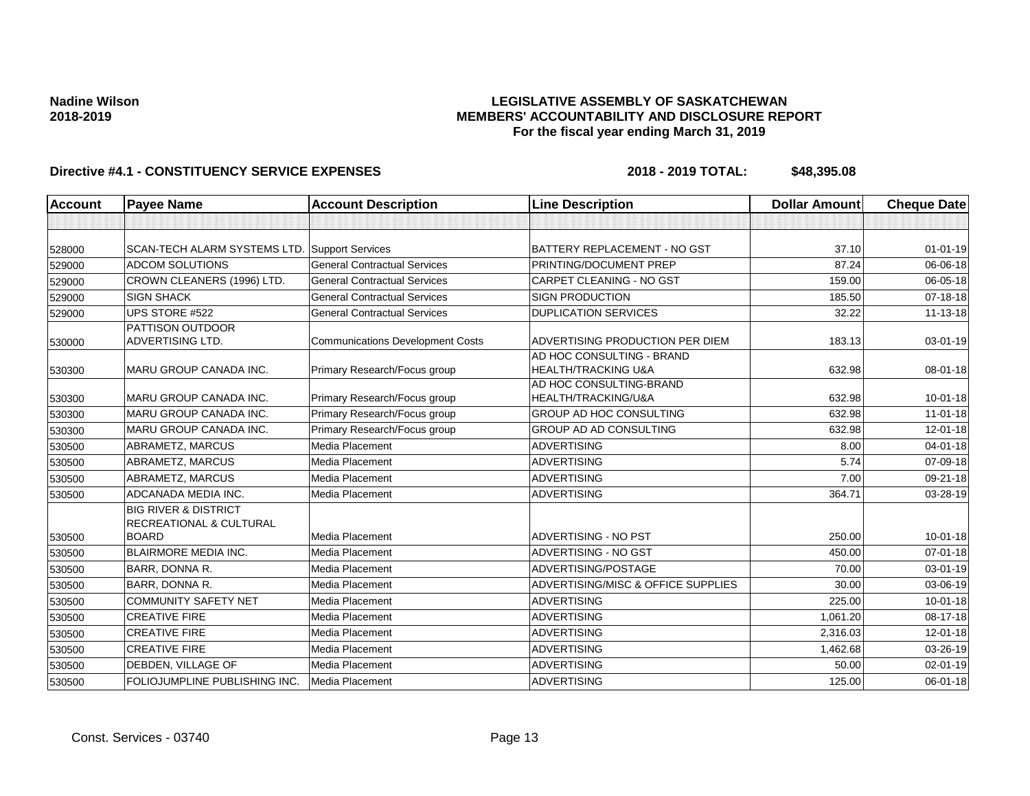## **LEGISLATIVE ASSEMBLY OF SASKATCHEWAN MEMBERS' ACCOUNTABILITY AND DISCLOSURE REPORT For the fiscal year ending March 31, 2019**

| <b>Account</b> | <b>Payee Name</b>                                          | <b>Account Description</b>              | <b>Line Description</b>                          | <b>Dollar Amount</b> | <b>Cheque Date</b> |
|----------------|------------------------------------------------------------|-----------------------------------------|--------------------------------------------------|----------------------|--------------------|
|                |                                                            |                                         |                                                  |                      |                    |
| 528000         | SCAN-TECH ALARM SYSTEMS LTD.                               | <b>Support Services</b>                 | BATTERY REPLACEMENT - NO GST                     | 37.10                | $01-01-19$         |
| 529000         | <b>ADCOM SOLUTIONS</b>                                     | <b>General Contractual Services</b>     | PRINTING/DOCUMENT PREP                           | 87.24                | 06-06-18           |
| 529000         | CROWN CLEANERS (1996) LTD.                                 | <b>General Contractual Services</b>     | <b>CARPET CLEANING - NO GST</b>                  | 159.00               | 06-05-18           |
| 529000         | <b>SIGN SHACK</b>                                          | <b>General Contractual Services</b>     | <b>SIGN PRODUCTION</b>                           | 185.50               | $07 - 18 - 18$     |
| 529000         | UPS STORE #522                                             | <b>General Contractual Services</b>     | <b>DUPLICATION SERVICES</b>                      | 32.22                | 11-13-18           |
| 530000         | <b>PATTISON OUTDOOR</b><br>ADVERTISING LTD.                | <b>Communications Development Costs</b> | ADVERTISING PRODUCTION PER DIEM                  | 183.13               | 03-01-19           |
| 530300         | MARU GROUP CANADA INC.                                     | Primary Research/Focus group            | AD HOC CONSULTING - BRAND<br>HEALTH/TRACKING U&A | 632.98               | 08-01-18           |
| 530300         | <b>MARU GROUP CANADA INC.</b>                              | Primary Research/Focus group            | AD HOC CONSULTING-BRAND<br>HEALTH/TRACKING/U&A   | 632.98               | $10 - 01 - 18$     |
| 530300         | <b>MARU GROUP CANADA INC.</b>                              | Primary Research/Focus group            | GROUP AD HOC CONSULTING                          | 632.98               | $11-01-18$         |
| 530300         | <b>MARU GROUP CANADA INC.</b>                              | Primary Research/Focus group            | GROUP AD AD CONSULTING                           | 632.98               | 12-01-18           |
| 530500         | ABRAMETZ, MARCUS                                           | Media Placement                         | <b>ADVERTISING</b>                               | 8.00                 | $04 - 01 - 18$     |
| 530500         | ABRAMETZ, MARCUS                                           | Media Placement                         | <b>ADVERTISING</b>                               | 5.74                 | 07-09-18           |
| 530500         | ABRAMETZ, MARCUS                                           | Media Placement                         | <b>ADVERTISING</b>                               | 7.00                 | 09-21-18           |
| 530500         | ADCANADA MEDIA INC.                                        | Media Placement                         | <b>ADVERTISING</b>                               | 364.71               | 03-28-19           |
|                | <b>BIG RIVER &amp; DISTRICT</b><br>RECREATIONAL & CULTURAL |                                         |                                                  |                      |                    |
| 530500         | <b>BOARD</b>                                               | Media Placement                         | <b>ADVERTISING - NO PST</b>                      | 250.00               | $10 - 01 - 18$     |
| 530500         | <b>BLAIRMORE MEDIA INC.</b>                                | Media Placement                         | ADVERTISING - NO GST                             | 450.00               | $07 - 01 - 18$     |
| 530500         | <b>BARR, DONNA R.</b>                                      | Media Placement                         | ADVERTISING/POSTAGE                              | 70.00                | $03 - 01 - 19$     |
| 530500         | BARR, DONNA R.                                             | Media Placement                         | ADVERTISING/MISC & OFFICE SUPPLIES               | 30.00                | 03-06-19           |
| 530500         | <b>COMMUNITY SAFETY NET</b>                                | Media Placement                         | <b>ADVERTISING</b>                               | 225.00               | $10 - 01 - 18$     |
| 530500         | <b>CREATIVE FIRE</b>                                       | Media Placement                         | <b>ADVERTISING</b>                               | 1,061.20             | 08-17-18           |
| 530500         | <b>CREATIVE FIRE</b>                                       | Media Placement                         | <b>ADVERTISING</b>                               | 2,316.03             | $12 - 01 - 18$     |
| 530500         | <b>CREATIVE FIRE</b>                                       | Media Placement                         | <b>ADVERTISING</b>                               | 1,462.68             | 03-26-19           |
| 530500         | DEBDEN, VILLAGE OF                                         | Media Placement                         | <b>ADVERTISING</b>                               | 50.00                | 02-01-19           |
| 530500         | FOLIOJUMPLINE PUBLISHING INC.                              | Media Placement                         | <b>ADVERTISING</b>                               | 125.00               | $06 - 01 - 18$     |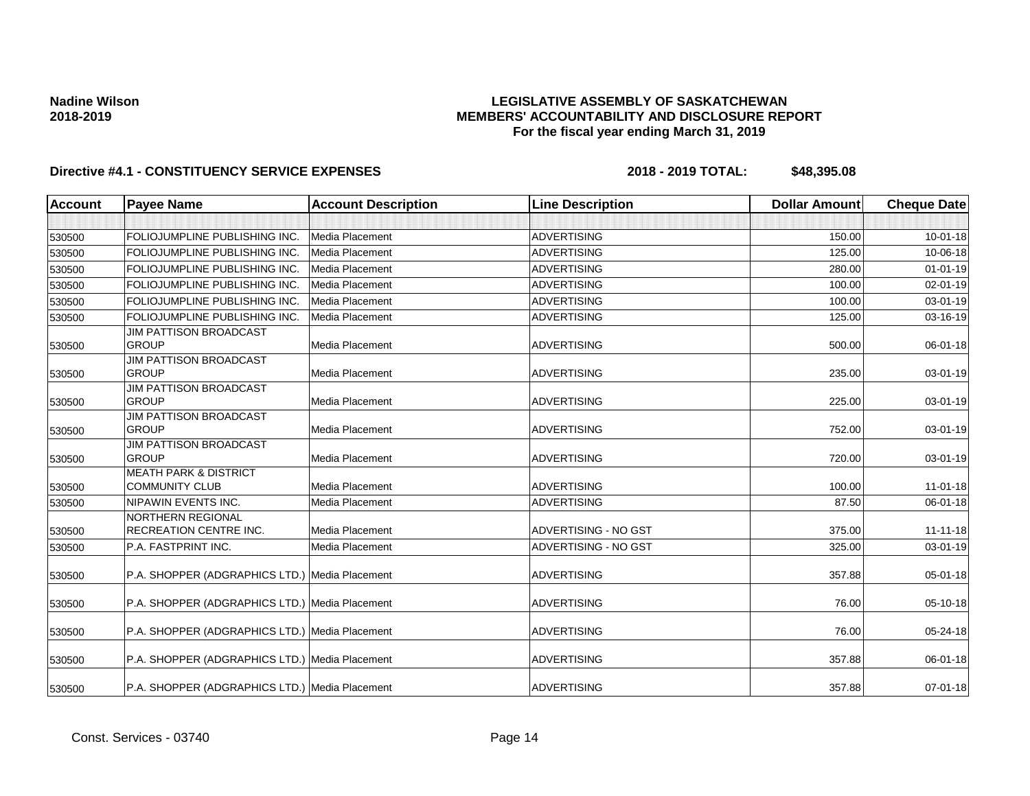## **LEGISLATIVE ASSEMBLY OF SASKATCHEWAN MEMBERS' ACCOUNTABILITY AND DISCLOSURE REPORT For the fiscal year ending March 31, 2019**

| <b>Account</b> | <b>Payee Name</b>                              | <b>Account Description</b> | <b>Line Description</b> | <b>Dollar Amount</b> | <b>Cheque Date</b> |
|----------------|------------------------------------------------|----------------------------|-------------------------|----------------------|--------------------|
|                |                                                |                            |                         |                      |                    |
| 530500         | FOLIOJUMPLINE PUBLISHING INC.                  | <b>Media Placement</b>     | <b>ADVERTISING</b>      | 150.00               | $10-01-18$         |
| 530500         | FOLIOJUMPLINE PUBLISHING INC.                  | <b>Media Placement</b>     | <b>ADVERTISING</b>      | 125.00               | 10-06-18           |
| 530500         | FOLIOJUMPLINE PUBLISHING INC.                  | <b>Media Placement</b>     | <b>ADVERTISING</b>      | 280.00               | $01 - 01 - 19$     |
| 530500         | FOLIOJUMPLINE PUBLISHING INC.                  | Media Placement            | <b>ADVERTISING</b>      | 100.00               | 02-01-19           |
| 530500         | FOLIOJUMPLINE PUBLISHING INC.                  | <b>Media Placement</b>     | <b>ADVERTISING</b>      | 100.00               | 03-01-19           |
| 530500         | <b>FOLIOJUMPLINE PUBLISHING INC.</b>           | Media Placement            | <b>ADVERTISING</b>      | 125.00               | $03 - 16 - 19$     |
|                | <b>JIM PATTISON BROADCAST</b>                  |                            |                         |                      |                    |
| 530500         | <b>GROUP</b>                                   | Media Placement            | <b>ADVERTISING</b>      | 500.00               | 06-01-18           |
|                | JIM PATTISON BROADCAST                         |                            |                         |                      |                    |
| 530500         | <b>GROUP</b>                                   | <b>Media Placement</b>     | <b>ADVERTISING</b>      | 235.00               | 03-01-19           |
| 530500         | JIM PATTISON BROADCAST<br><b>GROUP</b>         | <b>Media Placement</b>     | <b>ADVERTISING</b>      | 225.00               | 03-01-19           |
|                | <b>JIM PATTISON BROADCAST</b>                  |                            |                         |                      |                    |
| 530500         | <b>GROUP</b>                                   | Media Placement            | <b>ADVERTISING</b>      | 752.00               | 03-01-19           |
|                | <b>JIM PATTISON BROADCAST</b>                  |                            |                         |                      |                    |
| 530500         | <b>GROUP</b>                                   | <b>Media Placement</b>     | <b>ADVERTISING</b>      | 720.00               | 03-01-19           |
|                | <b>MEATH PARK &amp; DISTRICT</b>               |                            |                         |                      |                    |
| 530500         | <b>COMMUNITY CLUB</b>                          | <b>Media Placement</b>     | <b>ADVERTISING</b>      | 100.00               | $11-01-18$         |
| 530500         | NIPAWIN EVENTS INC.                            | Media Placement            | <b>ADVERTISING</b>      | 87.50                | 06-01-18           |
|                | <b>NORTHERN REGIONAL</b>                       |                            |                         |                      |                    |
| 530500         | <b>RECREATION CENTRE INC.</b>                  | <b>Media Placement</b>     | ADVERTISING - NO GST    | 375.00               | $11 - 11 - 18$     |
| 530500         | P.A. FASTPRINT INC.                            | <b>Media Placement</b>     | ADVERTISING - NO GST    | 325.00               | 03-01-19           |
| 530500         | P.A. SHOPPER (ADGRAPHICS LTD.) Media Placement |                            | <b>ADVERTISING</b>      | 357.88               | 05-01-18           |
|                |                                                |                            |                         |                      |                    |
| 530500         | P.A. SHOPPER (ADGRAPHICS LTD.) Media Placement |                            | <b>ADVERTISING</b>      | 76.00                | 05-10-18           |
|                |                                                |                            |                         |                      |                    |
| 530500         | P.A. SHOPPER (ADGRAPHICS LTD.) Media Placement |                            | <b>ADVERTISING</b>      | 76.00                | 05-24-18           |
| 530500         | P.A. SHOPPER (ADGRAPHICS LTD.) Media Placement |                            | <b>ADVERTISING</b>      | 357.88               | 06-01-18           |
| 530500         | P.A. SHOPPER (ADGRAPHICS LTD.) Media Placement |                            | <b>ADVERTISING</b>      | 357.88               | $07 - 01 - 18$     |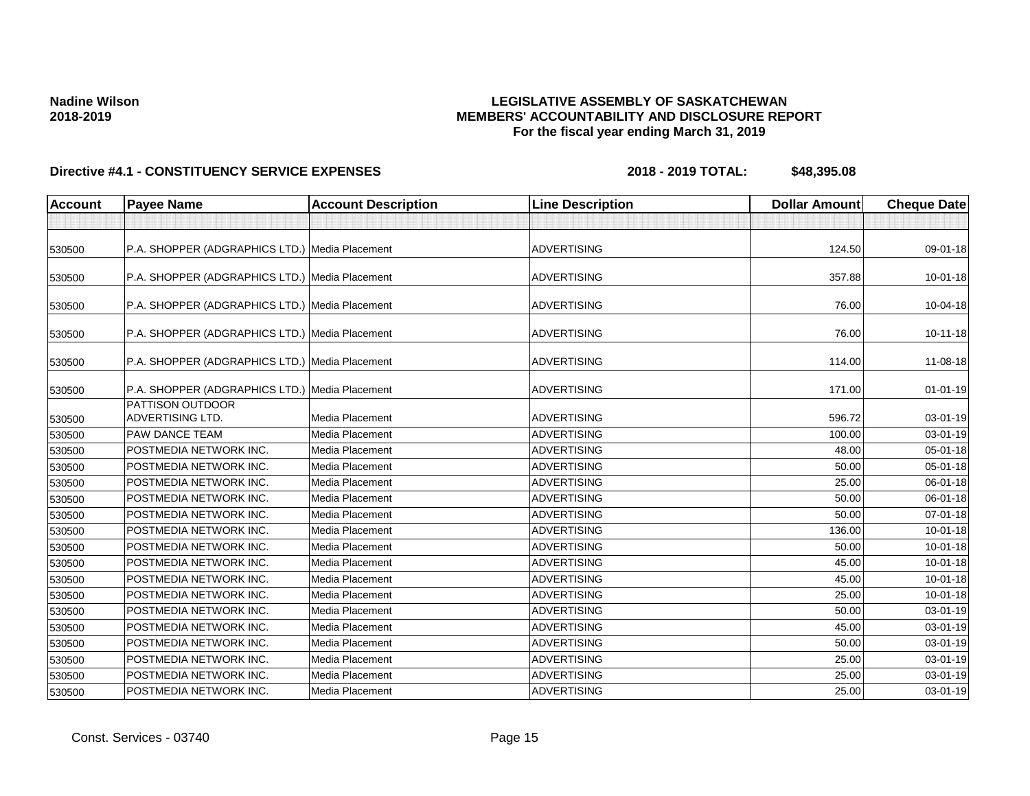## **LEGISLATIVE ASSEMBLY OF SASKATCHEWAN MEMBERS' ACCOUNTABILITY AND DISCLOSURE REPORT For the fiscal year ending March 31, 2019**

| <b>Account</b> | <b>Payee Name</b>                                  | <b>Account Description</b> | <b>Line Description</b> | <b>Dollar Amount</b> | <b>Cheque Date</b> |
|----------------|----------------------------------------------------|----------------------------|-------------------------|----------------------|--------------------|
|                |                                                    |                            |                         |                      |                    |
| 530500         | P.A. SHOPPER (ADGRAPHICS LTD.) Media Placement     |                            | <b>ADVERTISING</b>      | 124.50               | 09-01-18           |
| 530500         | P.A. SHOPPER (ADGRAPHICS LTD.) Media Placement     |                            | <b>ADVERTISING</b>      | 357.88               | $10 - 01 - 18$     |
| 530500         | P.A. SHOPPER (ADGRAPHICS LTD.) Media Placement     |                            | <b>ADVERTISING</b>      | 76.00                | 10-04-18           |
| 530500         | P.A. SHOPPER (ADGRAPHICS LTD.) Media Placement     |                            | <b>ADVERTISING</b>      | 76.00                | $10 - 11 - 18$     |
| 530500         | P.A. SHOPPER (ADGRAPHICS LTD.) Media Placement     |                            | <b>ADVERTISING</b>      | 114.00               | 11-08-18           |
| 530500         | P.A. SHOPPER (ADGRAPHICS LTD.) Media Placement     |                            | <b>ADVERTISING</b>      | 171.00               | $01-01-19$         |
| 530500         | <b>PATTISON OUTDOOR</b><br><b>ADVERTISING LTD.</b> | <b>Media Placement</b>     | <b>ADVERTISING</b>      | 596.72               | 03-01-19           |
| 530500         | <b>PAW DANCE TEAM</b>                              | <b>Media Placement</b>     | <b>ADVERTISING</b>      | 100.00               | 03-01-19           |
| 530500         | POSTMEDIA NETWORK INC.                             | Media Placement            | <b>ADVERTISING</b>      | 48.00                | $05 - 01 - 18$     |
| 530500         | POSTMEDIA NETWORK INC.                             | <b>Media Placement</b>     | <b>ADVERTISING</b>      | 50.00                | $05 - 01 - 18$     |
| 530500         | POSTMEDIA NETWORK INC.                             | <b>Media Placement</b>     | <b>ADVERTISING</b>      | 25.00                | 06-01-18           |
| 530500         | POSTMEDIA NETWORK INC.                             | Media Placement            | <b>ADVERTISING</b>      | 50.00                | 06-01-18           |
| 530500         | POSTMEDIA NETWORK INC.                             | <b>Media Placement</b>     | <b>ADVERTISING</b>      | 50.00                | 07-01-18           |
| 530500         | POSTMEDIA NETWORK INC.                             | Media Placement            | <b>ADVERTISING</b>      | 136.00               | $10 - 01 - 18$     |
| 530500         | POSTMEDIA NETWORK INC.                             | Media Placement            | <b>ADVERTISING</b>      | 50.00                | $10 - 01 - 18$     |
| 530500         | POSTMEDIA NETWORK INC.                             | <b>Media Placement</b>     | <b>ADVERTISING</b>      | 45.00                | $10 - 01 - 18$     |
| 530500         | POSTMEDIA NETWORK INC.                             | Media Placement            | <b>ADVERTISING</b>      | 45.00                | $10 - 01 - 18$     |
| 530500         | POSTMEDIA NETWORK INC.                             | Media Placement            | <b>ADVERTISING</b>      | 25.00                | $10 - 01 - 18$     |
| 530500         | <b>POSTMEDIA NETWORK INC.</b>                      | <b>Media Placement</b>     | <b>ADVERTISING</b>      | 50.00                | 03-01-19           |
| 530500         | <b>POSTMEDIA NETWORK INC.</b>                      | Media Placement            | <b>ADVERTISING</b>      | 45.00                | 03-01-19           |
| 530500         | POSTMEDIA NETWORK INC.                             | <b>Media Placement</b>     | <b>ADVERTISING</b>      | 50.00                | 03-01-19           |
| 530500         | POSTMEDIA NETWORK INC.                             | Media Placement            | ADVERTISING             | 25.00                | $03 - 01 - 19$     |
| 530500         | POSTMEDIA NETWORK INC.                             | Media Placement            | <b>ADVERTISING</b>      | 25.00                | $03 - 01 - 19$     |
| 530500         | POSTMEDIA NETWORK INC.                             | Media Placement            | <b>ADVERTISING</b>      | 25.00                | 03-01-19           |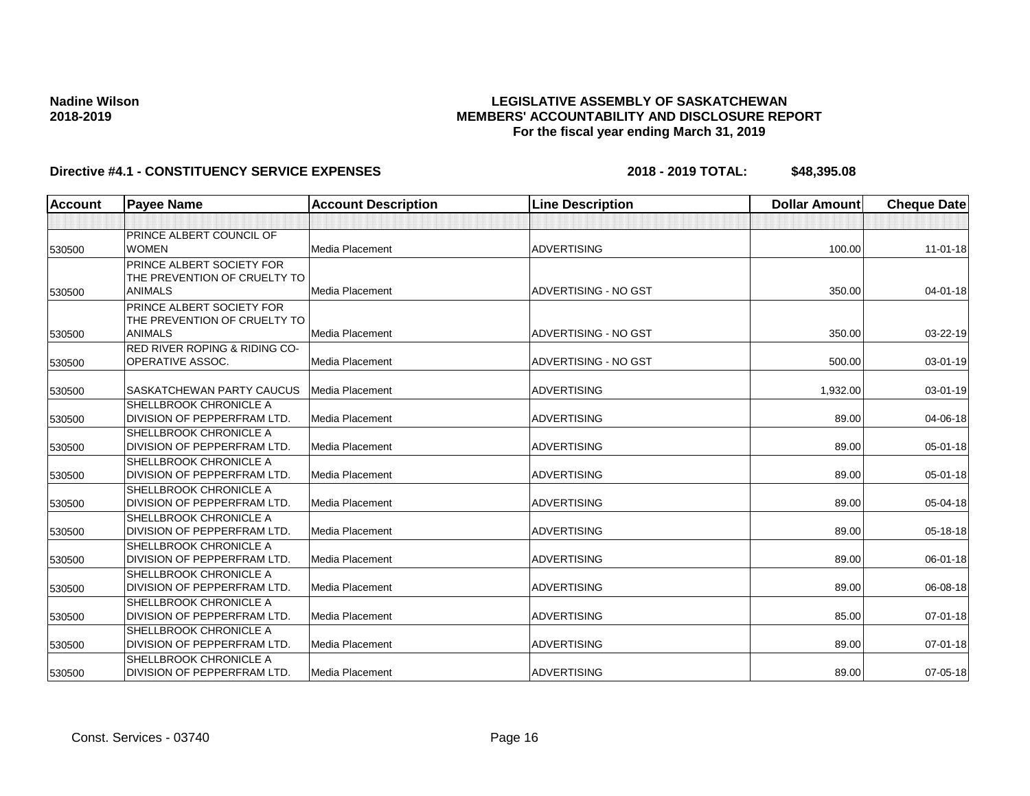## **LEGISLATIVE ASSEMBLY OF SASKATCHEWAN MEMBERS' ACCOUNTABILITY AND DISCLOSURE REPORT For the fiscal year ending March 31, 2019**

| <b>Account</b> | <b>Payee Name</b>                                                   | <b>Account Description</b> | <b>Line Description</b> | <b>Dollar Amount</b> | <b>Cheque Date</b> |
|----------------|---------------------------------------------------------------------|----------------------------|-------------------------|----------------------|--------------------|
|                |                                                                     |                            |                         |                      |                    |
| 530500         | <b>PRINCE ALBERT COUNCIL OF</b><br><b>WOMEN</b>                     | Media Placement            | <b>ADVERTISING</b>      | 100.00               | $11 - 01 - 18$     |
|                | <b>PRINCE ALBERT SOCIETY FOR</b><br>THE PREVENTION OF CRUELTY TO    |                            |                         |                      |                    |
| 530500         | <b>ANIMALS</b>                                                      | Media Placement            | ADVERTISING - NO GST    | 350.00               | $04 - 01 - 18$     |
|                | <b>PRINCE ALBERT SOCIETY FOR</b><br>THE PREVENTION OF CRUELTY TO    |                            |                         |                      |                    |
| 530500         | <b>ANIMALS</b>                                                      | Media Placement            | ADVERTISING - NO GST    | 350.00               | 03-22-19           |
| 530500         | <b>RED RIVER ROPING &amp; RIDING CO-</b><br><b>OPERATIVE ASSOC.</b> | Media Placement            | ADVERTISING - NO GST    | 500.00               | 03-01-19           |
| 530500         | <b>SASKATCHEWAN PARTY CAUCUS</b>                                    | Media Placement            | <b>ADVERTISING</b>      | 1,932.00             | 03-01-19           |
| 530500         | SHELLBROOK CHRONICLE A<br><b>DIVISION OF PEPPERFRAM LTD.</b>        | <b>Media Placement</b>     | <b>ADVERTISING</b>      | 89.00                | 04-06-18           |
| 530500         | <b>SHELLBROOK CHRONICLE A</b><br>DIVISION OF PEPPERFRAM LTD.        | <b>Media Placement</b>     | <b>ADVERTISING</b>      | 89.00                | $05 - 01 - 18$     |
|                | <b>SHELLBROOK CHRONICLE A</b>                                       |                            |                         |                      |                    |
| 530500         | DIVISION OF PEPPERFRAM LTD.                                         | <b>Media Placement</b>     | <b>ADVERTISING</b>      | 89.00                | 05-01-18           |
| 530500         | <b>SHELLBROOK CHRONICLE A</b><br>DIVISION OF PEPPERFRAM LTD.        | <b>Media Placement</b>     | <b>ADVERTISING</b>      | 89.00                | 05-04-18           |
| 530500         | <b>SHELLBROOK CHRONICLE A</b><br><b>DIVISION OF PEPPERFRAM LTD.</b> | Media Placement            | <b>ADVERTISING</b>      | 89.00                | 05-18-18           |
| 530500         | <b>SHELLBROOK CHRONICLE A</b><br>DIVISION OF PEPPERFRAM LTD.        | <b>Media Placement</b>     | <b>ADVERTISING</b>      | 89.00                | 06-01-18           |
| 530500         | <b>SHELLBROOK CHRONICLE A</b><br>DIVISION OF PEPPERFRAM LTD.        | Media Placement            | <b>ADVERTISING</b>      | 89.00                | 06-08-18           |
| 530500         | <b>SHELLBROOK CHRONICLE A</b><br>DIVISION OF PEPPERFRAM LTD.        | Media Placement            | <b>ADVERTISING</b>      | 85.00                | $07 - 01 - 18$     |
| 530500         | <b>SHELLBROOK CHRONICLE A</b><br>DIVISION OF PEPPERFRAM LTD.        | Media Placement            | <b>ADVERTISING</b>      | 89.00                | 07-01-18           |
| 530500         | <b>SHELLBROOK CHRONICLE A</b><br>DIVISION OF PEPPERFRAM LTD.        | Media Placement            | <b>ADVERTISING</b>      | 89.00                | 07-05-18           |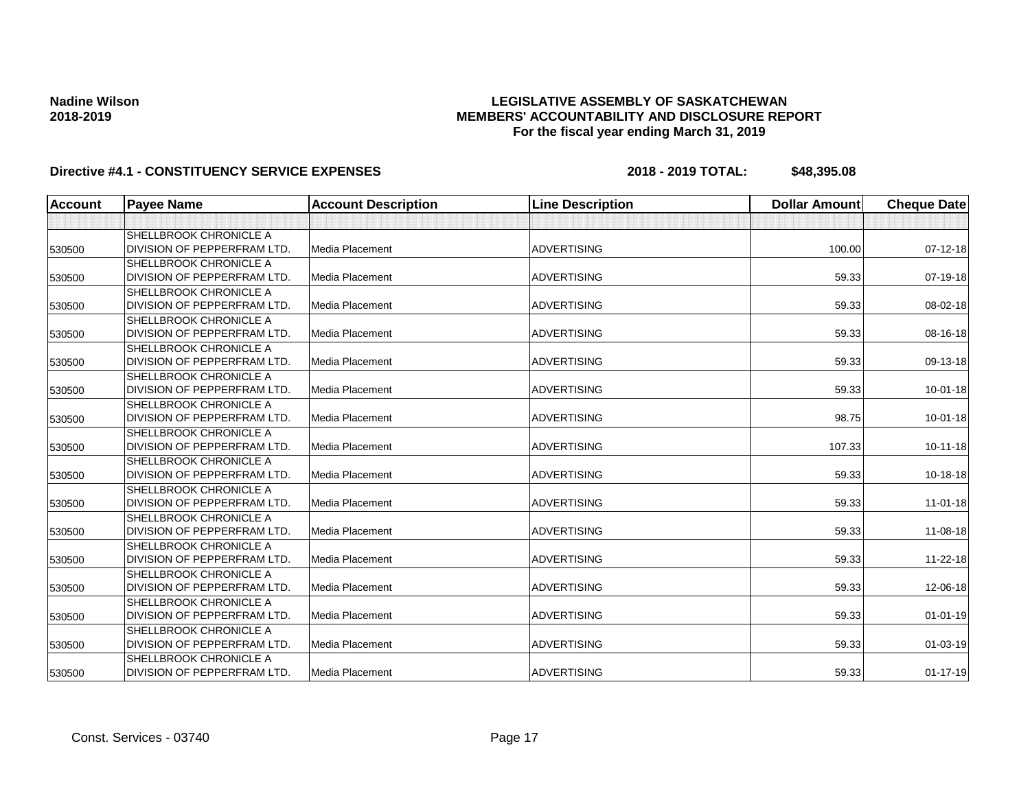## **LEGISLATIVE ASSEMBLY OF SASKATCHEWAN MEMBERS' ACCOUNTABILITY AND DISCLOSURE REPORT For the fiscal year ending March 31, 2019**

| <b>Account</b> | <b>Payee Name</b>                  | <b>Account Description</b> | <b>Line Description</b> | <b>Dollar Amount</b> | <b>Cheque Date</b> |
|----------------|------------------------------------|----------------------------|-------------------------|----------------------|--------------------|
|                |                                    |                            |                         |                      |                    |
|                | SHELLBROOK CHRONICLE A             |                            |                         |                      |                    |
| 530500         | DIVISION OF PEPPERFRAM LTD.        | Media Placement            | <b>ADVERTISING</b>      | 100.00               | $07 - 12 - 18$     |
|                | SHELLBROOK CHRONICLE A             |                            |                         |                      |                    |
| 530500         | DIVISION OF PEPPERFRAM LTD.        | Media Placement            | <b>ADVERTISING</b>      | 59.33                | 07-19-18           |
|                | <b>SHELLBROOK CHRONICLE A</b>      |                            |                         |                      |                    |
| 530500         | DIVISION OF PEPPERFRAM LTD.        | <b>Media Placement</b>     | <b>ADVERTISING</b>      | 59.33                | 08-02-18           |
|                | <b>SHELLBROOK CHRONICLE A</b>      |                            |                         |                      |                    |
| 530500         | DIVISION OF PEPPERFRAM LTD.        | Media Placement            | <b>ADVERTISING</b>      | 59.33                | 08-16-18           |
|                | <b>SHELLBROOK CHRONICLE A</b>      |                            |                         |                      |                    |
| 530500         | DIVISION OF PEPPERFRAM LTD.        | Media Placement            | <b>ADVERTISING</b>      | 59.33                | 09-13-18           |
|                | <b>SHELLBROOK CHRONICLE A</b>      |                            |                         |                      |                    |
| 530500         | DIVISION OF PEPPERFRAM LTD.        | <b>Media Placement</b>     | <b>ADVERTISING</b>      | 59.33                | $10 - 01 - 18$     |
|                | <b>SHELLBROOK CHRONICLE A</b>      |                            |                         |                      |                    |
| 530500         | DIVISION OF PEPPERFRAM LTD.        | <b>Media Placement</b>     | <b>ADVERTISING</b>      | 98.75                | $10 - 01 - 18$     |
|                | <b>SHELLBROOK CHRONICLE A</b>      |                            |                         |                      |                    |
| 530500         | DIVISION OF PEPPERFRAM LTD.        | <b>Media Placement</b>     | <b>ADVERTISING</b>      | 107.33               | $10 - 11 - 18$     |
|                | SHELLBROOK CHRONICLE A             |                            |                         |                      |                    |
| 530500         | DIVISION OF PEPPERFRAM LTD.        | Media Placement            | <b>ADVERTISING</b>      | 59.33                | $10-18-18$         |
|                | <b>SHELLBROOK CHRONICLE A</b>      |                            |                         |                      |                    |
| 530500         | DIVISION OF PEPPERFRAM LTD.        | <b>Media Placement</b>     | <b>ADVERTISING</b>      | 59.33                | $11 - 01 - 18$     |
|                | <b>SHELLBROOK CHRONICLE A</b>      |                            |                         |                      |                    |
| 530500         | DIVISION OF PEPPERFRAM LTD.        | <b>Media Placement</b>     | <b>ADVERTISING</b>      | 59.33                | 11-08-18           |
|                | <b>SHELLBROOK CHRONICLE A</b>      |                            |                         |                      |                    |
| 530500         | DIVISION OF PEPPERFRAM LTD.        | <b>Media Placement</b>     | <b>ADVERTISING</b>      | 59.33                | $11 - 22 - 18$     |
|                | <b>SHELLBROOK CHRONICLE A</b>      |                            |                         |                      |                    |
| 530500         | <b>DIVISION OF PEPPERFRAM LTD.</b> | Media Placement            | <b>ADVERTISING</b>      | 59.33                | 12-06-18           |
|                | <b>SHELLBROOK CHRONICLE A</b>      |                            |                         |                      |                    |
| 530500         | DIVISION OF PEPPERFRAM LTD.        | Media Placement            | <b>ADVERTISING</b>      | 59.33                | $01 - 01 - 19$     |
|                | SHELLBROOK CHRONICLE A             |                            |                         |                      |                    |
| 530500         | DIVISION OF PEPPERFRAM LTD.        | Media Placement            | <b>ADVERTISING</b>      | 59.33                | $01 - 03 - 19$     |
|                | <b>SHELLBROOK CHRONICLE A</b>      |                            |                         |                      |                    |
| 530500         | DIVISION OF PEPPERFRAM LTD.        | Media Placement            | <b>ADVERTISING</b>      | 59.33                | $01 - 17 - 19$     |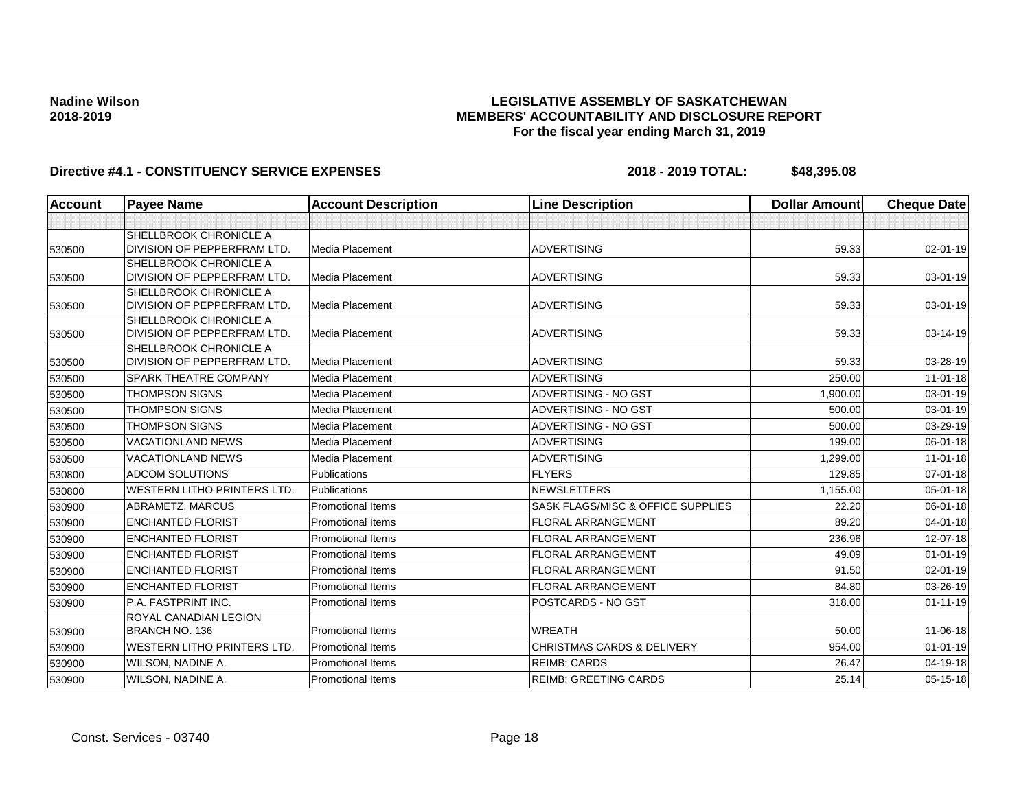## **LEGISLATIVE ASSEMBLY OF SASKATCHEWAN MEMBERS' ACCOUNTABILITY AND DISCLOSURE REPORT For the fiscal year ending March 31, 2019**

| Account | <b>Payee Name</b>                                     | <b>Account Description</b> | <b>Line Description</b>               | <b>Dollar Amount</b> | <b>Cheque Date</b> |
|---------|-------------------------------------------------------|----------------------------|---------------------------------------|----------------------|--------------------|
|         |                                                       |                            |                                       |                      |                    |
|         | SHELLBROOK CHRONICLE A                                |                            |                                       |                      |                    |
| 530500  | DIVISION OF PEPPERFRAM LTD.                           | <b>Media Placement</b>     | <b>ADVERTISING</b>                    | 59.33                | 02-01-19           |
|         | SHELLBROOK CHRONICLE A                                |                            |                                       |                      |                    |
| 530500  | DIVISION OF PEPPERFRAM LTD.                           | Media Placement            | <b>ADVERTISING</b>                    | 59.33                | 03-01-19           |
|         | SHELLBROOK CHRONICLE A                                |                            |                                       |                      |                    |
| 530500  | DIVISION OF PEPPERFRAM LTD.                           | Media Placement            | <b>ADVERTISING</b>                    | 59.33                | 03-01-19           |
|         | SHELLBROOK CHRONICLE A<br>DIVISION OF PEPPERFRAM LTD. | Media Placement            | <b>ADVERTISING</b>                    | 59.33                | 03-14-19           |
| 530500  | <b>SHELLBROOK CHRONICLE A</b>                         |                            |                                       |                      |                    |
| 530500  | DIVISION OF PEPPERFRAM LTD.                           | Media Placement            | <b>ADVERTISING</b>                    | 59.33                | 03-28-19           |
| 530500  | SPARK THEATRE COMPANY                                 | Media Placement            | <b>ADVERTISING</b>                    | 250.00               | 11-01-18           |
| 530500  | <b>THOMPSON SIGNS</b>                                 | Media Placement            | ADVERTISING - NO GST                  | 1,900.00             | 03-01-19           |
| 530500  | <b>THOMPSON SIGNS</b>                                 | Media Placement            | <b>ADVERTISING - NO GST</b>           | 500.00               | 03-01-19           |
| 530500  | <b>THOMPSON SIGNS</b>                                 | Media Placement            | <b>ADVERTISING - NO GST</b>           | 500.00               | 03-29-19           |
| 530500  | <b>VACATIONLAND NEWS</b>                              | Media Placement            | <b>ADVERTISING</b>                    | 199.00               | 06-01-18           |
| 530500  | <b>VACATIONLAND NEWS</b>                              | Media Placement            | <b>ADVERTISING</b>                    | 1,299.00             | $11 - 01 - 18$     |
| 530800  | <b>ADCOM SOLUTIONS</b>                                | Publications               | <b>FLYERS</b>                         | 129.85               | $07 - 01 - 18$     |
| 530800  | <b>WESTERN LITHO PRINTERS LTD.</b>                    | <b>Publications</b>        | <b>NEWSLETTERS</b>                    | 1,155.00             | $05 - 01 - 18$     |
| 530900  | ABRAMETZ, MARCUS                                      | <b>Promotional Items</b>   | SASK FLAGS/MISC & OFFICE SUPPLIES     | 22.20                | 06-01-18           |
| 530900  | <b>ENCHANTED FLORIST</b>                              | <b>Promotional Items</b>   | <b>FLORAL ARRANGEMENT</b>             | 89.20                | 04-01-18           |
| 530900  | <b>ENCHANTED FLORIST</b>                              | <b>Promotional Items</b>   | <b>FLORAL ARRANGEMENT</b>             | 236.96               | 12-07-18           |
| 530900  | <b>ENCHANTED FLORIST</b>                              | <b>Promotional Items</b>   | <b>FLORAL ARRANGEMENT</b>             | 49.09                | $01 - 01 - 19$     |
| 530900  | <b>ENCHANTED FLORIST</b>                              | <b>Promotional Items</b>   | <b>FLORAL ARRANGEMENT</b>             | 91.50                | $02 - 01 - 19$     |
| 530900  | <b>ENCHANTED FLORIST</b>                              | <b>Promotional Items</b>   | <b>FLORAL ARRANGEMENT</b>             | 84.80                | 03-26-19           |
| 530900  | P.A. FASTPRINT INC.                                   | <b>Promotional Items</b>   | POSTCARDS - NO GST                    | 318.00               | $01 - 11 - 19$     |
|         | <b>ROYAL CANADIAN LEGION</b>                          |                            |                                       |                      |                    |
| 530900  | BRANCH NO. 136                                        | <b>Promotional Items</b>   | <b>WREATH</b>                         | 50.00                | 11-06-18           |
| 530900  | <b>WESTERN LITHO PRINTERS LTD.</b>                    | <b>Promotional Items</b>   | <b>CHRISTMAS CARDS &amp; DELIVERY</b> | 954.00               | $01 - 01 - 19$     |
| 530900  | WILSON, NADINE A.                                     | <b>Promotional Items</b>   | <b>REIMB: CARDS</b>                   | 26.47                | 04-19-18           |
| 530900  | WILSON, NADINE A.                                     | <b>Promotional Items</b>   | <b>REIMB: GREETING CARDS</b>          | 25.14                | $05 - 15 - 18$     |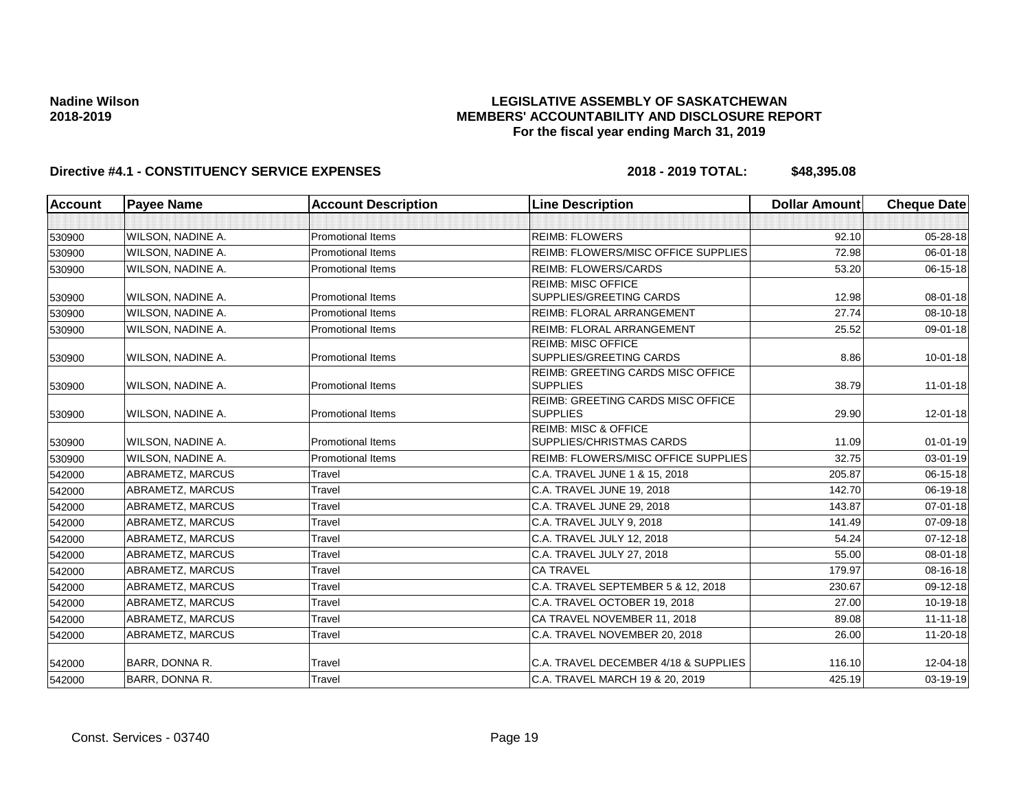## **LEGISLATIVE ASSEMBLY OF SASKATCHEWAN MEMBERS' ACCOUNTABILITY AND DISCLOSURE REPORT For the fiscal year ending March 31, 2019**

| <b>Account</b> | <b>Payee Name</b>        | <b>Account Description</b> | <b>Line Description</b>                                            | <b>Dollar Amount</b> | <b>Cheque Date</b> |
|----------------|--------------------------|----------------------------|--------------------------------------------------------------------|----------------------|--------------------|
|                |                          |                            |                                                                    |                      |                    |
| 530900         | <b>WILSON, NADINE A.</b> | <b>Promotional Items</b>   | <b>REIMB: FLOWERS</b>                                              | 92.10                | 05-28-18           |
| 530900         | <b>WILSON, NADINE A.</b> | <b>Promotional Items</b>   | REIMB: FLOWERS/MISC OFFICE SUPPLIES                                | 72.98                | $06 - 01 - 18$     |
| 530900         | WILSON, NADINE A.        | <b>Promotional Items</b>   | <b>REIMB: FLOWERS/CARDS</b>                                        | 53.20                | 06-15-18           |
| 530900         | <b>WILSON, NADINE A.</b> | <b>Promotional Items</b>   | <b>REIMB: MISC OFFICE</b><br><b>SUPPLIES/GREETING CARDS</b>        | 12.98                | $08 - 01 - 18$     |
| 530900         | <b>WILSON, NADINE A.</b> | <b>Promotional Items</b>   | <b>REIMB: FLORAL ARRANGEMENT</b>                                   | 27.74                | 08-10-18           |
| 530900         | <b>WILSON, NADINE A.</b> | Promotional Items          | <b>REIMB: FLORAL ARRANGEMENT</b>                                   | 25.52                | 09-01-18           |
| 530900         | <b>WILSON, NADINE A.</b> | <b>Promotional Items</b>   | <b>REIMB: MISC OFFICE</b><br>SUPPLIES/GREETING CARDS               | 8.86                 | $10 - 01 - 18$     |
| 530900         | WILSON, NADINE A.        | <b>Promotional Items</b>   | <b>REIMB: GREETING CARDS MISC OFFICE</b><br><b>SUPPLIES</b>        | 38.79                | $11 - 01 - 18$     |
| 530900         | WILSON, NADINE A.        | <b>Promotional Items</b>   | <b>REIMB: GREETING CARDS MISC OFFICE</b><br><b>SUPPLIES</b>        | 29.90                | 12-01-18           |
| 530900         | <b>WILSON, NADINE A.</b> | <b>Promotional Items</b>   | <b>REIMB: MISC &amp; OFFICE</b><br><b>SUPPLIES/CHRISTMAS CARDS</b> | 11.09                | $01 - 01 - 19$     |
| 530900         | WILSON, NADINE A.        | <b>Promotional Items</b>   | REIMB: FLOWERS/MISC OFFICE SUPPLIES                                | 32.75                | 03-01-19           |
| 542000         | ABRAMETZ, MARCUS         | Travel                     | C.A. TRAVEL JUNE 1 & 15, 2018                                      | 205.87               | 06-15-18           |
| 542000         | <b>ABRAMETZ, MARCUS</b>  | Travel                     | C.A. TRAVEL JUNE 19, 2018                                          | 142.70               | 06-19-18           |
| 542000         | <b>ABRAMETZ, MARCUS</b>  | Travel                     | C.A. TRAVEL JUNE 29, 2018                                          | 143.87               | $07 - 01 - 18$     |
| 542000         | <b>ABRAMETZ, MARCUS</b>  | Travel                     | C.A. TRAVEL JULY 9, 2018                                           | 141.49               | 07-09-18           |
| 542000         | ABRAMETZ, MARCUS         | Travel                     | C.A. TRAVEL JULY 12, 2018                                          | 54.24                | $07 - 12 - 18$     |
| 542000         | ABRAMETZ, MARCUS         | Travel                     | C.A. TRAVEL JULY 27, 2018                                          | 55.00                | $08 - 01 - 18$     |
| 542000         | ABRAMETZ, MARCUS         | Travel                     | <b>CA TRAVEL</b>                                                   | 179.97               | 08-16-18           |
| 542000         | ABRAMETZ, MARCUS         | Travel                     | C.A. TRAVEL SEPTEMBER 5 & 12, 2018                                 | 230.67               | 09-12-18           |
| 542000         | <b>ABRAMETZ, MARCUS</b>  | Travel                     | C.A. TRAVEL OCTOBER 19, 2018                                       | 27.00                | 10-19-18           |
| 542000         | ABRAMETZ, MARCUS         | Travel                     | CA TRAVEL NOVEMBER 11, 2018                                        | 89.08                | $11 - 11 - 18$     |
| 542000         | <b>ABRAMETZ, MARCUS</b>  | Travel                     | C.A. TRAVEL NOVEMBER 20, 2018                                      | 26.00                | $11 - 20 - 18$     |
| 542000         | <b>BARR, DONNA R.</b>    | Travel                     | C.A. TRAVEL DECEMBER 4/18 & SUPPLIES                               | 116.10               | 12-04-18           |
| 542000         | BARR, DONNA R.           | Travel                     | C.A. TRAVEL MARCH 19 & 20, 2019                                    | 425.19               | 03-19-19           |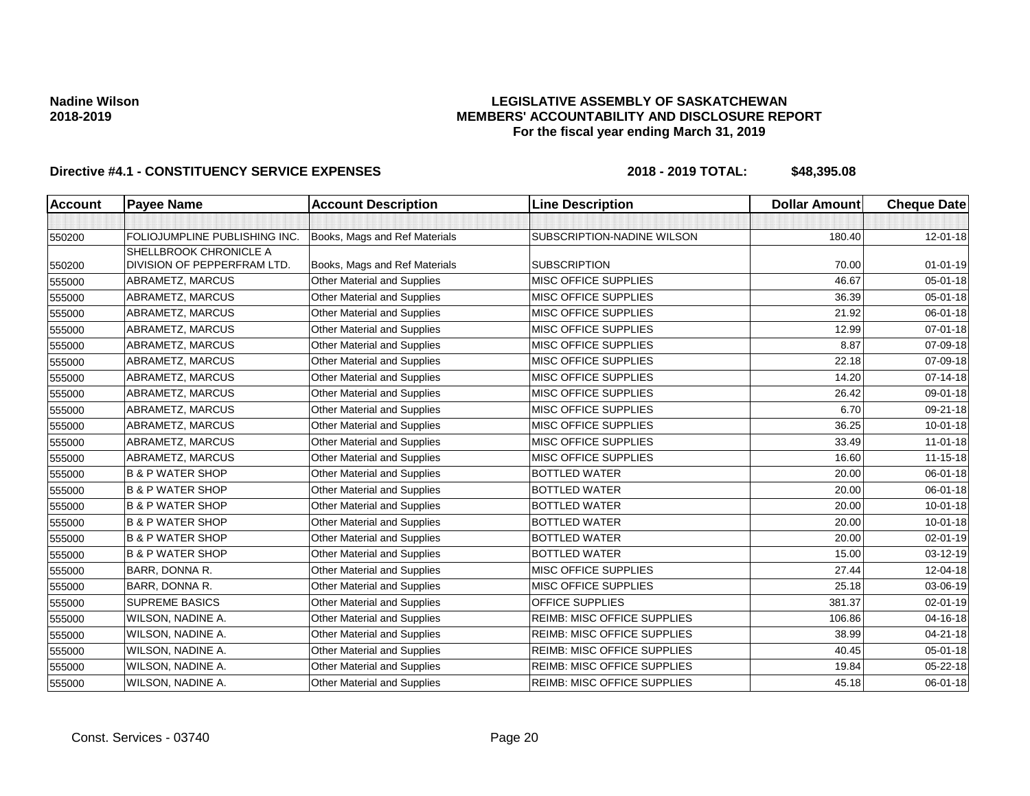## **LEGISLATIVE ASSEMBLY OF SASKATCHEWAN MEMBERS' ACCOUNTABILITY AND DISCLOSURE REPORT For the fiscal year ending March 31, 2019**

| <b>Account</b> | <b>Payee Name</b>             | <b>Account Description</b>         | <b>Line Description</b>            | <b>Dollar Amount</b> | <b>Cheque Date</b> |
|----------------|-------------------------------|------------------------------------|------------------------------------|----------------------|--------------------|
|                |                               |                                    |                                    |                      |                    |
| 550200         | FOLIOJUMPLINE PUBLISHING INC. | Books, Mags and Ref Materials      | SUBSCRIPTION-NADINE WILSON         | 180.40               | 12-01-18           |
|                | SHELLBROOK CHRONICLE A        |                                    |                                    |                      |                    |
| 550200         | DIVISION OF PEPPERFRAM LTD.   | Books, Mags and Ref Materials      | <b>SUBSCRIPTION</b>                | 70.00                | $01 - 01 - 19$     |
| 555000         | ABRAMETZ, MARCUS              | Other Material and Supplies        | MISC OFFICE SUPPLIES               | 46.67                | 05-01-18           |
| 555000         | ABRAMETZ, MARCUS              | Other Material and Supplies        | MISC OFFICE SUPPLIES               | 36.39                | 05-01-18           |
| 555000         | ABRAMETZ, MARCUS              | Other Material and Supplies        | <b>MISC OFFICE SUPPLIES</b>        | 21.92                | 06-01-18           |
| 555000         | ABRAMETZ, MARCUS              | Other Material and Supplies        | <b>MISC OFFICE SUPPLIES</b>        | 12.99                | $07 - 01 - 18$     |
| 555000         | ABRAMETZ, MARCUS              | Other Material and Supplies        | MISC OFFICE SUPPLIES               | 8.87                 | 07-09-18           |
| 555000         | ABRAMETZ, MARCUS              | Other Material and Supplies        | <b>MISC OFFICE SUPPLIES</b>        | 22.18                | 07-09-18           |
| 555000         | ABRAMETZ, MARCUS              | Other Material and Supplies        | <b>MISC OFFICE SUPPLIES</b>        | 14.20                | $07 - 14 - 18$     |
| 555000         | ABRAMETZ, MARCUS              | Other Material and Supplies        | <b>MISC OFFICE SUPPLIES</b>        | 26.42                | 09-01-18           |
| 555000         | ABRAMETZ, MARCUS              | Other Material and Supplies        | MISC OFFICE SUPPLIES               | 6.70                 | 09-21-18           |
| 555000         | ABRAMETZ, MARCUS              | <b>Other Material and Supplies</b> | MISC OFFICE SUPPLIES               | 36.25                | $10 - 01 - 18$     |
| 555000         | ABRAMETZ, MARCUS              | Other Material and Supplies        | MISC OFFICE SUPPLIES               | 33.49                | $11-01-18$         |
| 555000         | ABRAMETZ, MARCUS              | Other Material and Supplies        | <b>MISC OFFICE SUPPLIES</b>        | 16.60                | $11 - 15 - 18$     |
| 555000         | <b>B &amp; P WATER SHOP</b>   | Other Material and Supplies        | <b>BOTTLED WATER</b>               | 20.00                | 06-01-18           |
| 555000         | <b>B &amp; P WATER SHOP</b>   | Other Material and Supplies        | <b>BOTTLED WATER</b>               | 20.00                | 06-01-18           |
| 555000         | <b>B &amp; P WATER SHOP</b>   | Other Material and Supplies        | <b>BOTTLED WATER</b>               | 20.00                | $10 - 01 - 18$     |
| 555000         | <b>B &amp; P WATER SHOP</b>   | Other Material and Supplies        | <b>BOTTLED WATER</b>               | 20.00                | $10 - 01 - 18$     |
| 555000         | <b>B &amp; P WATER SHOP</b>   | Other Material and Supplies        | <b>BOTTLED WATER</b>               | 20.00                | 02-01-19           |
| 555000         | <b>B &amp; P WATER SHOP</b>   | Other Material and Supplies        | <b>BOTTLED WATER</b>               | 15.00                | 03-12-19           |
| 555000         | BARR, DONNA R.                | Other Material and Supplies        | <b>MISC OFFICE SUPPLIES</b>        | 27.44                | 12-04-18           |
| 555000         | BARR, DONNA R.                | Other Material and Supplies        | MISC OFFICE SUPPLIES               | 25.18                | 03-06-19           |
| 555000         | <b>SUPREME BASICS</b>         | Other Material and Supplies        | OFFICE SUPPLIES                    | 381.37               | 02-01-19           |
| 555000         | WILSON, NADINE A.             | Other Material and Supplies        | <b>REIMB: MISC OFFICE SUPPLIES</b> | 106.86               | 04-16-18           |
| 555000         | WILSON, NADINE A.             | Other Material and Supplies        | <b>REIMB: MISC OFFICE SUPPLIES</b> | 38.99                | 04-21-18           |
| 555000         | WILSON, NADINE A.             | Other Material and Supplies        | <b>REIMB: MISC OFFICE SUPPLIES</b> | 40.45                | 05-01-18           |
| 555000         | WILSON, NADINE A.             | Other Material and Supplies        | <b>REIMB: MISC OFFICE SUPPLIES</b> | 19.84                | 05-22-18           |
| 555000         | WILSON, NADINE A.             | Other Material and Supplies        | <b>REIMB: MISC OFFICE SUPPLIES</b> | 45.18                | 06-01-18           |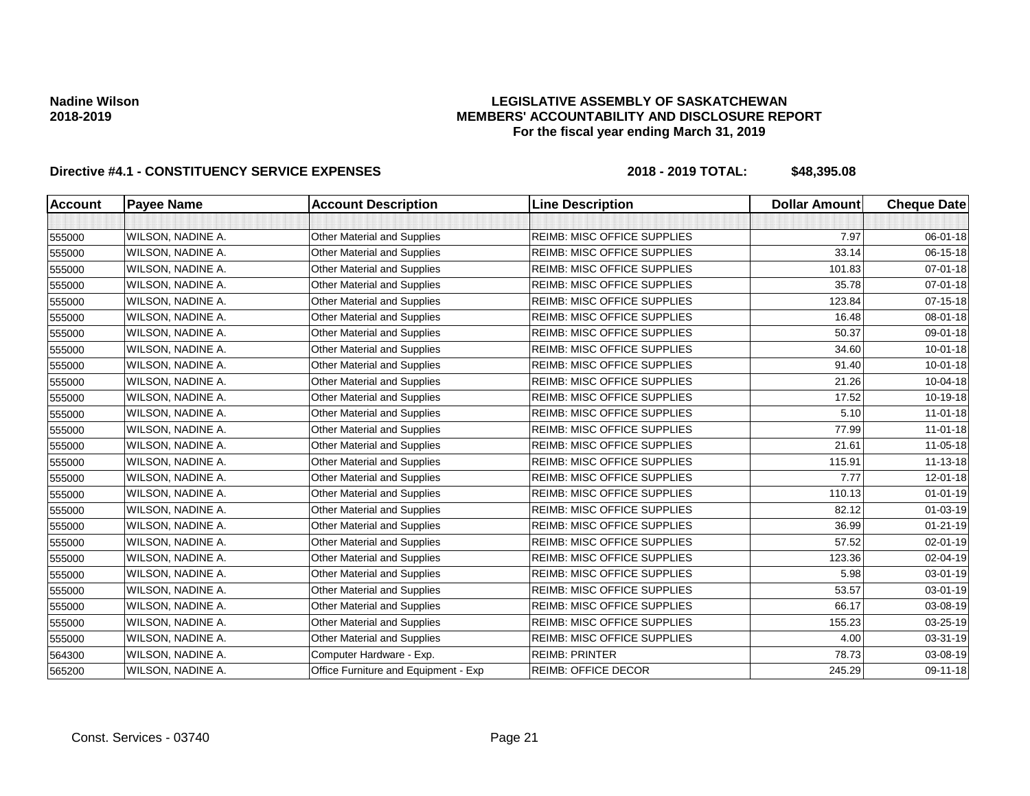### **LEGISLATIVE ASSEMBLY OF SASKATCHEWAN MEMBERS' ACCOUNTABILITY AND DISCLOSURE REPORT For the fiscal year ending March 31, 2019**

| <b>Account</b> | <b>Payee Name</b> | <b>Account Description</b>           | <b>Line Description</b>            | <b>Dollar Amount</b> | <b>Cheque Date</b> |
|----------------|-------------------|--------------------------------------|------------------------------------|----------------------|--------------------|
|                |                   |                                      |                                    |                      |                    |
| 555000         | WILSON, NADINE A. | <b>Other Material and Supplies</b>   | <b>REIMB: MISC OFFICE SUPPLIES</b> | 7.97                 | 06-01-18           |
| 555000         | WILSON, NADINE A. | Other Material and Supplies          | REIMB: MISC OFFICE SUPPLIES        | 33.14                | 06-15-18           |
| 555000         | WILSON, NADINE A. | <b>Other Material and Supplies</b>   | <b>REIMB: MISC OFFICE SUPPLIES</b> | 101.83               | $07 - 01 - 18$     |
| 555000         | WILSON, NADINE A. | <b>Other Material and Supplies</b>   | <b>REIMB: MISC OFFICE SUPPLIES</b> | 35.78                | 07-01-18           |
| 555000         | WILSON, NADINE A. | <b>Other Material and Supplies</b>   | <b>REIMB: MISC OFFICE SUPPLIES</b> | 123.84               | 07-15-18           |
| 555000         | WILSON, NADINE A. | <b>Other Material and Supplies</b>   | <b>REIMB: MISC OFFICE SUPPLIES</b> | 16.48                | 08-01-18           |
| 555000         | WILSON, NADINE A. | <b>Other Material and Supplies</b>   | <b>REIMB: MISC OFFICE SUPPLIES</b> | 50.37                | 09-01-18           |
| 555000         | WILSON, NADINE A. | <b>Other Material and Supplies</b>   | <b>REIMB: MISC OFFICE SUPPLIES</b> | 34.60                | $10 - 01 - 18$     |
| 555000         | WILSON, NADINE A. | Other Material and Supplies          | <b>REIMB: MISC OFFICE SUPPLIES</b> | 91.40                | $10 - 01 - 18$     |
| 555000         | WILSON, NADINE A. | <b>Other Material and Supplies</b>   | <b>REIMB: MISC OFFICE SUPPLIES</b> | 21.26                | 10-04-18           |
| 555000         | WILSON, NADINE A. | <b>Other Material and Supplies</b>   | <b>REIMB: MISC OFFICE SUPPLIES</b> | 17.52                | 10-19-18           |
| 555000         | WILSON, NADINE A. | Other Material and Supplies          | <b>REIMB: MISC OFFICE SUPPLIES</b> | 5.10                 | $11 - 01 - 18$     |
| 555000         | WILSON, NADINE A. | Other Material and Supplies          | <b>REIMB: MISC OFFICE SUPPLIES</b> | 77.99                | $11 - 01 - 18$     |
| 555000         | WILSON, NADINE A. | Other Material and Supplies          | <b>REIMB: MISC OFFICE SUPPLIES</b> | 21.61                | 11-05-18           |
| 555000         | WILSON, NADINE A. | <b>Other Material and Supplies</b>   | <b>REIMB: MISC OFFICE SUPPLIES</b> | 115.91               | 11-13-18           |
| 555000         | WILSON, NADINE A. | <b>Other Material and Supplies</b>   | <b>REIMB: MISC OFFICE SUPPLIES</b> | 7.77                 | 12-01-18           |
| 555000         | WILSON, NADINE A. | Other Material and Supplies          | <b>REIMB: MISC OFFICE SUPPLIES</b> | 110.13               | $01 - 01 - 19$     |
| 555000         | WILSON, NADINE A. | <b>Other Material and Supplies</b>   | <b>REIMB: MISC OFFICE SUPPLIES</b> | 82.12                | $01 - 03 - 19$     |
| 555000         | WILSON, NADINE A. | <b>Other Material and Supplies</b>   | <b>REIMB: MISC OFFICE SUPPLIES</b> | 36.99                | $01 - 21 - 19$     |
| 555000         | WILSON, NADINE A. | Other Material and Supplies          | REIMB: MISC OFFICE SUPPLIES        | 57.52                | $02 - 01 - 19$     |
| 555000         | WILSON, NADINE A. | <b>Other Material and Supplies</b>   | <b>REIMB: MISC OFFICE SUPPLIES</b> | 123.36               | 02-04-19           |
| 555000         | WILSON, NADINE A. | <b>Other Material and Supplies</b>   | <b>REIMB: MISC OFFICE SUPPLIES</b> | 5.98                 | 03-01-19           |
| 555000         | WILSON, NADINE A. | <b>Other Material and Supplies</b>   | <b>REIMB: MISC OFFICE SUPPLIES</b> | 53.57                | $03 - 01 - 19$     |
| 555000         | WILSON, NADINE A. | Other Material and Supplies          | <b>REIMB: MISC OFFICE SUPPLIES</b> | 66.17                | 03-08-19           |
| 555000         | WILSON, NADINE A. | Other Material and Supplies          | <b>REIMB: MISC OFFICE SUPPLIES</b> | 155.23               | 03-25-19           |
| 555000         | WILSON, NADINE A. | <b>Other Material and Supplies</b>   | <b>REIMB: MISC OFFICE SUPPLIES</b> | 4.00                 | 03-31-19           |
| 564300         | WILSON, NADINE A. | Computer Hardware - Exp.             | <b>REIMB: PRINTER</b>              | 78.73                | 03-08-19           |
| 565200         | WILSON, NADINE A. | Office Furniture and Equipment - Exp | <b>REIMB: OFFICE DECOR</b>         | 245.29               | 09-11-18           |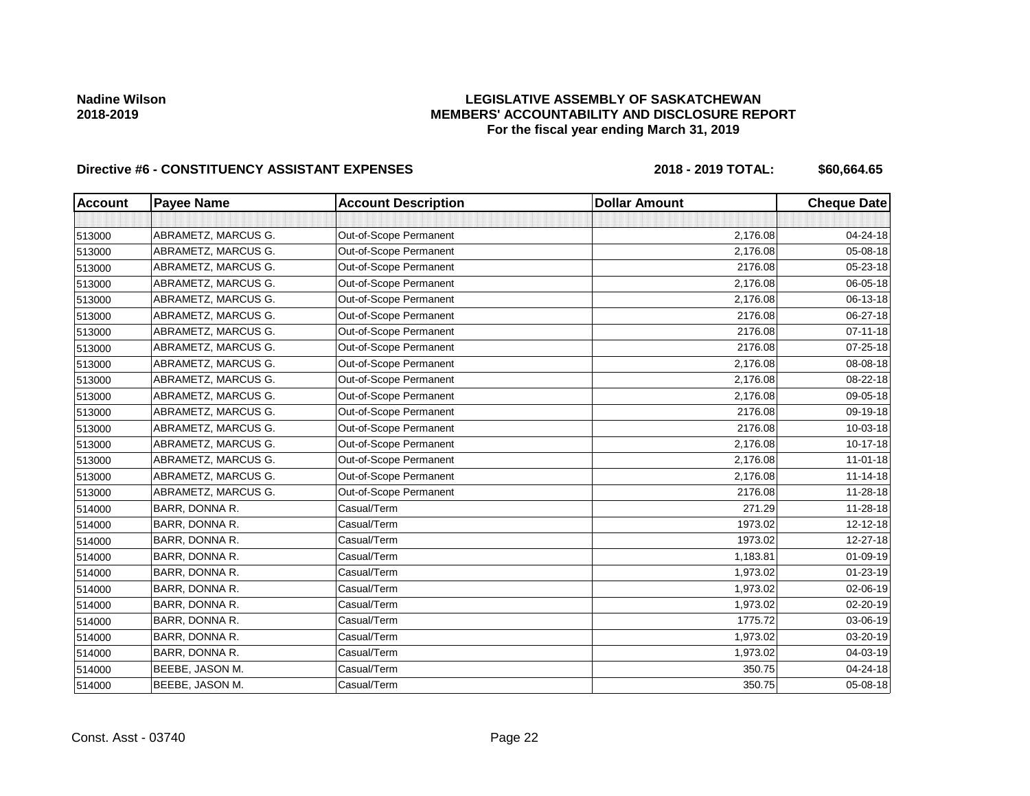## **LEGISLATIVE ASSEMBLY OF SASKATCHEWAN MEMBERS' ACCOUNTABILITY AND DISCLOSURE REPORT For the fiscal year ending March 31, 2019**

| <b>Account</b> | <b>Payee Name</b>   | <b>Account Description</b> | <b>Dollar Amount</b> | <b>Cheque Date</b> |
|----------------|---------------------|----------------------------|----------------------|--------------------|
|                |                     |                            |                      |                    |
| 513000         | ABRAMETZ, MARCUS G. | Out-of-Scope Permanent     | 2,176.08             | 04-24-18           |
| 513000         | ABRAMETZ, MARCUS G. | Out-of-Scope Permanent     | 2,176.08             | 05-08-18           |
| 513000         | ABRAMETZ, MARCUS G. | Out-of-Scope Permanent     | 2176.08              | 05-23-18           |
| 513000         | ABRAMETZ, MARCUS G. | Out-of-Scope Permanent     | 2,176.08             | 06-05-18           |
| 513000         | ABRAMETZ, MARCUS G. | Out-of-Scope Permanent     | 2,176.08             | 06-13-18           |
| 513000         | ABRAMETZ, MARCUS G. | Out-of-Scope Permanent     | 2176.08              | 06-27-18           |
| 513000         | ABRAMETZ, MARCUS G. | Out-of-Scope Permanent     | 2176.08              | 07-11-18           |
| 513000         | ABRAMETZ, MARCUS G. | Out-of-Scope Permanent     | 2176.08              | 07-25-18           |
| 513000         | ABRAMETZ, MARCUS G. | Out-of-Scope Permanent     | 2,176.08             | 08-08-18           |
| 513000         | ABRAMETZ, MARCUS G. | Out-of-Scope Permanent     | 2,176.08             | 08-22-18           |
| 513000         | ABRAMETZ, MARCUS G. | Out-of-Scope Permanent     | 2,176.08             | 09-05-18           |
| 513000         | ABRAMETZ, MARCUS G. | Out-of-Scope Permanent     | 2176.08              | 09-19-18           |
| 513000         | ABRAMETZ, MARCUS G. | Out-of-Scope Permanent     | 2176.08              | 10-03-18           |
| 513000         | ABRAMETZ, MARCUS G. | Out-of-Scope Permanent     | 2,176.08             | 10-17-18           |
| 513000         | ABRAMETZ, MARCUS G. | Out-of-Scope Permanent     | 2,176.08             | $11-01-18$         |
| 513000         | ABRAMETZ, MARCUS G. | Out-of-Scope Permanent     | 2,176.08             | $11 - 14 - 18$     |
| 513000         | ABRAMETZ, MARCUS G. | Out-of-Scope Permanent     | 2176.08              | 11-28-18           |
| 514000         | BARR, DONNA R.      | Casual/Term                | 271.29               | 11-28-18           |
| 514000         | BARR, DONNA R.      | Casual/Term                | 1973.02              | 12-12-18           |
| 514000         | BARR, DONNA R.      | Casual/Term                | 1973.02              | 12-27-18           |
| 514000         | BARR, DONNA R.      | Casual/Term                | 1,183.81             | 01-09-19           |
| 514000         | BARR, DONNA R.      | Casual/Term                | 1,973.02             | $01 - 23 - 19$     |
| 514000         | BARR, DONNA R.      | Casual/Term                | 1,973.02             | 02-06-19           |
| 514000         | BARR, DONNA R.      | Casual/Term                | 1,973.02             | 02-20-19           |
| 514000         | BARR, DONNA R.      | Casual/Term                | 1775.72              | 03-06-19           |
| 514000         | BARR, DONNA R.      | Casual/Term                | 1,973.02             | 03-20-19           |
| 514000         | BARR, DONNA R.      | Casual/Term                | 1,973.02             | 04-03-19           |
| 514000         | BEEBE, JASON M.     | Casual/Term                | 350.75               | 04-24-18           |
| 514000         | BEEBE, JASON M.     | Casual/Term                | 350.75               | 05-08-18           |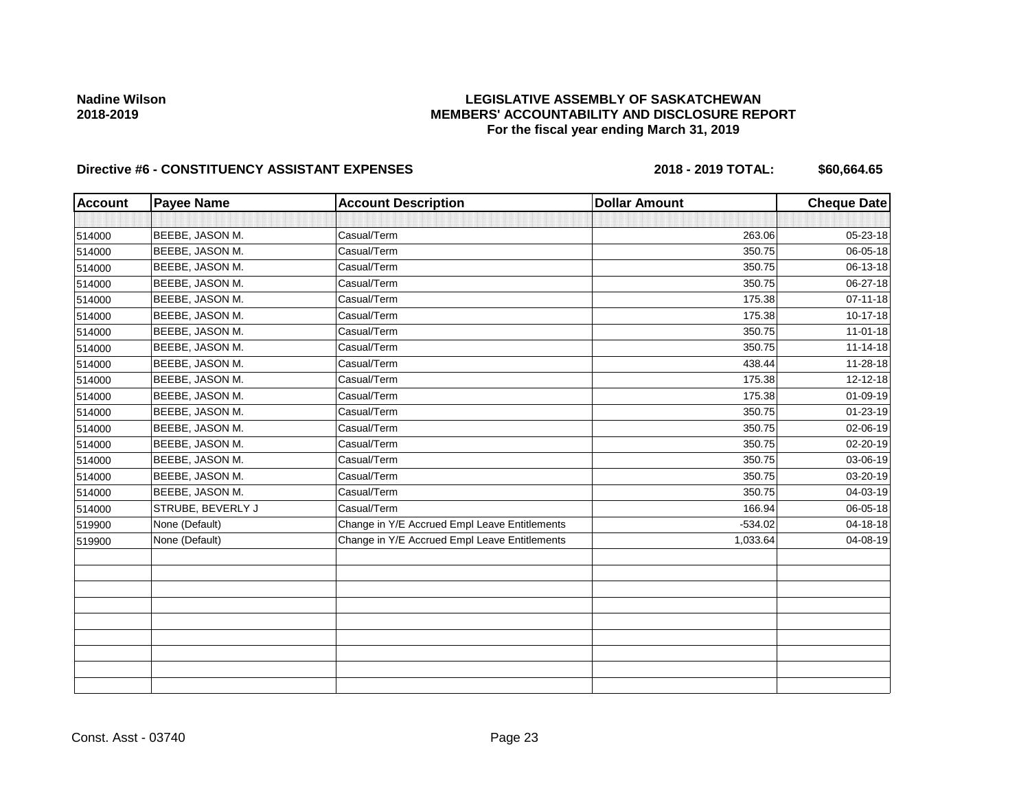## **LEGISLATIVE ASSEMBLY OF SASKATCHEWAN MEMBERS' ACCOUNTABILITY AND DISCLOSURE REPORT For the fiscal year ending March 31, 2019**

| <b>Account</b> | <b>Payee Name</b> | <b>Account Description</b>                    | <b>Dollar Amount</b> | <b>Cheque Date</b> |
|----------------|-------------------|-----------------------------------------------|----------------------|--------------------|
|                |                   |                                               |                      |                    |
| 514000         | BEEBE, JASON M.   | Casual/Term                                   | 263.06               | 05-23-18           |
| 514000         | BEEBE, JASON M.   | Casual/Term                                   | 350.75               | 06-05-18           |
| 514000         | BEEBE, JASON M.   | Casual/Term                                   | 350.75               | 06-13-18           |
| 514000         | BEEBE, JASON M.   | Casual/Term                                   | 350.75               | 06-27-18           |
| 514000         | BEEBE, JASON M.   | Casual/Term                                   | 175.38               | $07 - 11 - 18$     |
| 514000         | BEEBE, JASON M.   | Casual/Term                                   | 175.38               | $10 - 17 - 18$     |
| 514000         | BEEBE, JASON M.   | Casual/Term                                   | 350.75               | $11 - 01 - 18$     |
| 514000         | BEEBE, JASON M.   | Casual/Term                                   | 350.75               | 11-14-18           |
| 514000         | BEEBE, JASON M.   | Casual/Term                                   | 438.44               | 11-28-18           |
| 514000         | BEEBE, JASON M.   | Casual/Term                                   | 175.38               | 12-12-18           |
| 514000         | BEEBE, JASON M.   | Casual/Term                                   | 175.38               | 01-09-19           |
| 514000         | BEEBE, JASON M.   | Casual/Term                                   | 350.75               | 01-23-19           |
| 514000         | BEEBE, JASON M.   | Casual/Term                                   | 350.75               | 02-06-19           |
| 514000         | BEEBE, JASON M.   | Casual/Term                                   | 350.75               | 02-20-19           |
| 514000         | BEEBE, JASON M.   | Casual/Term                                   | 350.75               | 03-06-19           |
| 514000         | BEEBE, JASON M.   | Casual/Term                                   | 350.75               | 03-20-19           |
| 514000         | BEEBE, JASON M.   | Casual/Term                                   | 350.75               | 04-03-19           |
| 514000         | STRUBE, BEVERLY J | Casual/Term                                   | 166.94               | 06-05-18           |
| 519900         | None (Default)    | Change in Y/E Accrued Empl Leave Entitlements | $-534.02$            | 04-18-18           |
| 519900         | None (Default)    | Change in Y/E Accrued Empl Leave Entitlements | 1,033.64             | 04-08-19           |
|                |                   |                                               |                      |                    |
|                |                   |                                               |                      |                    |
|                |                   |                                               |                      |                    |
|                |                   |                                               |                      |                    |
|                |                   |                                               |                      |                    |
|                |                   |                                               |                      |                    |
|                |                   |                                               |                      |                    |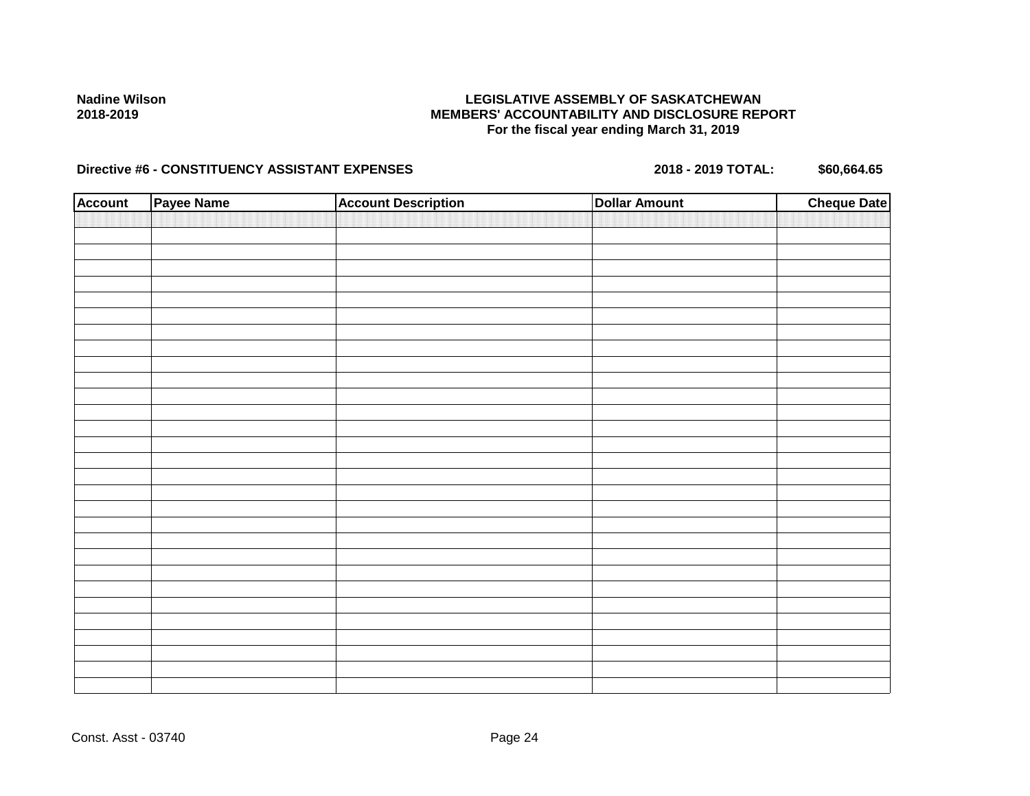## **LEGISLATIVE ASSEMBLY OF SASKATCHEWAN MEMBERS' ACCOUNTABILITY AND DISCLOSURE REPORT For the fiscal year ending March 31, 2019**

| <b>Account</b> | Payee Name | <b>Account Description</b> | <b>Dollar Amount</b> | <b>Cheque Date</b> |
|----------------|------------|----------------------------|----------------------|--------------------|
|                |            |                            |                      |                    |
|                |            |                            |                      |                    |
|                |            |                            |                      |                    |
|                |            |                            |                      |                    |
|                |            |                            |                      |                    |
|                |            |                            |                      |                    |
|                |            |                            |                      |                    |
|                |            |                            |                      |                    |
|                |            |                            |                      |                    |
|                |            |                            |                      |                    |
|                |            |                            |                      |                    |
|                |            |                            |                      |                    |
|                |            |                            |                      |                    |
|                |            |                            |                      |                    |
|                |            |                            |                      |                    |
|                |            |                            |                      |                    |
|                |            |                            |                      |                    |
|                |            |                            |                      |                    |
|                |            |                            |                      |                    |
|                |            |                            |                      |                    |
|                |            |                            |                      |                    |
|                |            |                            |                      |                    |
|                |            |                            |                      |                    |
|                |            |                            |                      |                    |
|                |            |                            |                      |                    |
|                |            |                            |                      |                    |
|                |            |                            |                      |                    |
|                |            |                            |                      |                    |
|                |            |                            |                      |                    |
|                |            |                            |                      |                    |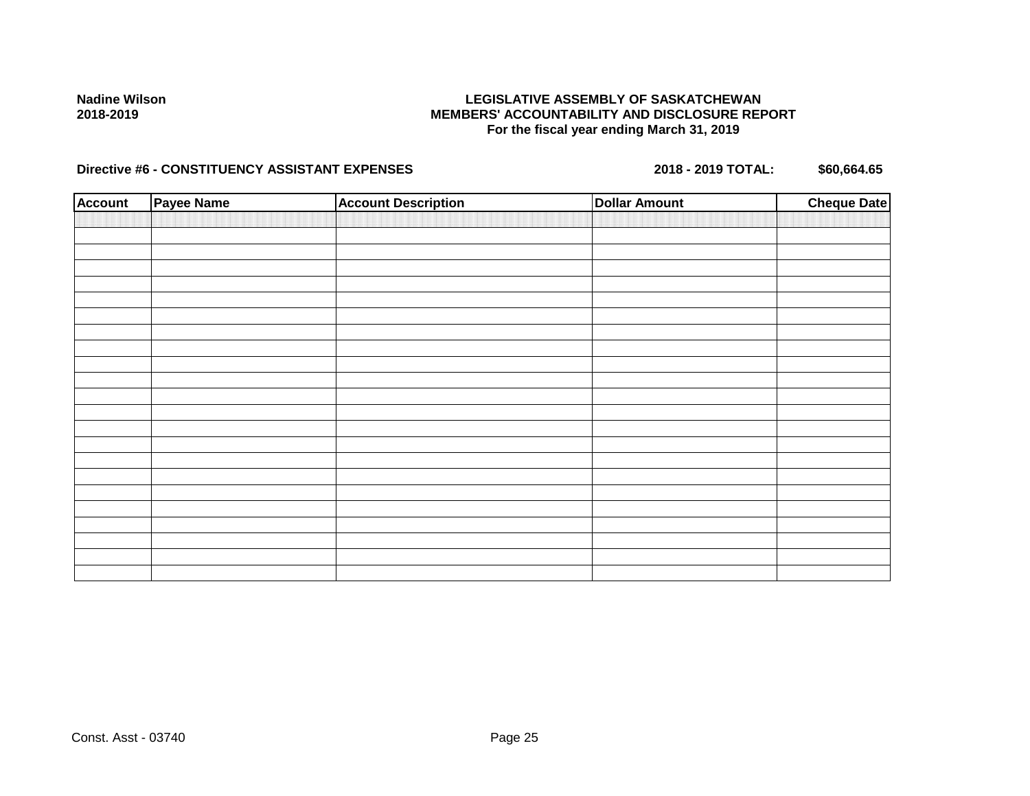## **LEGISLATIVE ASSEMBLY OF SASKATCHEWAN MEMBERS' ACCOUNTABILITY AND DISCLOSURE REPORT For the fiscal year ending March 31, 2019**

| <b>Account</b> | Payee Name | <b>Account Description</b> | <b>Dollar Amount</b> | <b>Cheque Date</b> |
|----------------|------------|----------------------------|----------------------|--------------------|
|                |            |                            |                      |                    |
|                |            |                            |                      |                    |
|                |            |                            |                      |                    |
|                |            |                            |                      |                    |
|                |            |                            |                      |                    |
|                |            |                            |                      |                    |
|                |            |                            |                      |                    |
|                |            |                            |                      |                    |
|                |            |                            |                      |                    |
|                |            |                            |                      |                    |
|                |            |                            |                      |                    |
|                |            |                            |                      |                    |
|                |            |                            |                      |                    |
|                |            |                            |                      |                    |
|                |            |                            |                      |                    |
|                |            |                            |                      |                    |
|                |            |                            |                      |                    |
|                |            |                            |                      |                    |
|                |            |                            |                      |                    |
|                |            |                            |                      |                    |
|                |            |                            |                      |                    |
|                |            |                            |                      |                    |